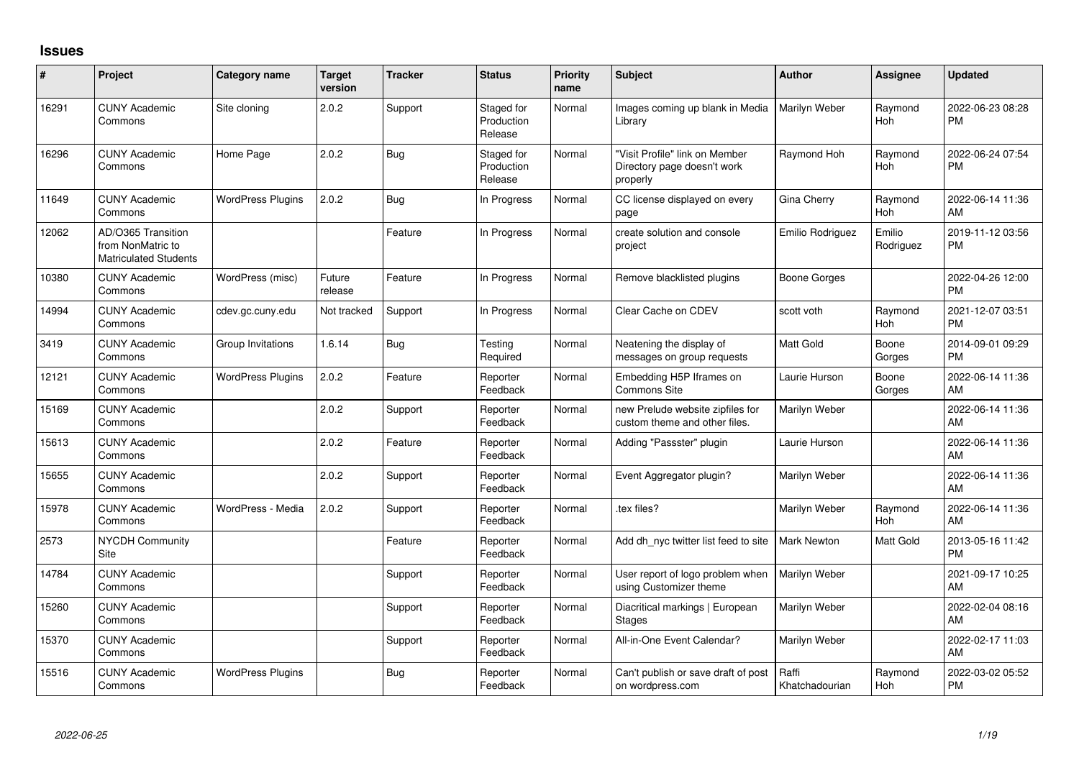## **Issues**

| ∦     | Project                                                                 | <b>Category name</b>     | <b>Target</b><br>version | <b>Tracker</b> | <b>Status</b>                       | <b>Priority</b><br>name | Subject                                                                   | Author                  | <b>Assignee</b>     | <b>Updated</b>                |
|-------|-------------------------------------------------------------------------|--------------------------|--------------------------|----------------|-------------------------------------|-------------------------|---------------------------------------------------------------------------|-------------------------|---------------------|-------------------------------|
| 16291 | <b>CUNY Academic</b><br>Commons                                         | Site cloning             | 2.0.2                    | Support        | Staged for<br>Production<br>Release | Normal                  | Images coming up blank in Media<br>Library                                | Marilyn Weber           | Raymond<br>Hoh      | 2022-06-23 08:28<br><b>PM</b> |
| 16296 | <b>CUNY Academic</b><br>Commons                                         | Home Page                | 2.0.2                    | <b>Bug</b>     | Staged for<br>Production<br>Release | Normal                  | 'Visit Profile" link on Member<br>Directory page doesn't work<br>properly | Raymond Hoh             | Raymond<br>Hoh      | 2022-06-24 07:54<br><b>PM</b> |
| 11649 | <b>CUNY Academic</b><br>Commons                                         | <b>WordPress Plugins</b> | 2.0.2                    | <b>Bug</b>     | In Progress                         | Normal                  | CC license displayed on every<br>page                                     | Gina Cherry             | Raymond<br>Hoh      | 2022-06-14 11:36<br>AM        |
| 12062 | AD/O365 Transition<br>from NonMatric to<br><b>Matriculated Students</b> |                          |                          | Feature        | In Progress                         | Normal                  | create solution and console<br>project                                    | Emilio Rodriguez        | Emilio<br>Rodriguez | 2019-11-12 03:56<br><b>PM</b> |
| 10380 | <b>CUNY Academic</b><br>Commons                                         | WordPress (misc)         | Future<br>release        | Feature        | In Progress                         | Normal                  | Remove blacklisted plugins                                                | Boone Gorges            |                     | 2022-04-26 12:00<br><b>PM</b> |
| 14994 | <b>CUNY Academic</b><br>Commons                                         | cdev.gc.cuny.edu         | Not tracked              | Support        | In Progress                         | Normal                  | Clear Cache on CDEV                                                       | scott voth              | Raymond<br>Hoh      | 2021-12-07 03:51<br><b>PM</b> |
| 3419  | <b>CUNY Academic</b><br>Commons                                         | Group Invitations        | 1.6.14                   | Bug            | Testing<br>Required                 | Normal                  | Neatening the display of<br>messages on group requests                    | <b>Matt Gold</b>        | Boone<br>Gorges     | 2014-09-01 09:29<br><b>PM</b> |
| 12121 | <b>CUNY Academic</b><br>Commons                                         | <b>WordPress Plugins</b> | 2.0.2                    | Feature        | Reporter<br>Feedback                | Normal                  | Embedding H5P Iframes on<br><b>Commons Site</b>                           | Laurie Hurson           | Boone<br>Gorges     | 2022-06-14 11:36<br>AM        |
| 15169 | <b>CUNY Academic</b><br>Commons                                         |                          | 2.0.2                    | Support        | Reporter<br>Feedback                | Normal                  | new Prelude website zipfiles for<br>custom theme and other files.         | Marilyn Weber           |                     | 2022-06-14 11:36<br>AM        |
| 15613 | <b>CUNY Academic</b><br>Commons                                         |                          | 2.0.2                    | Feature        | Reporter<br>Feedback                | Normal                  | Adding "Passster" plugin                                                  | Laurie Hurson           |                     | 2022-06-14 11:36<br>AM        |
| 15655 | <b>CUNY Academic</b><br>Commons                                         |                          | 2.0.2                    | Support        | Reporter<br>Feedback                | Normal                  | Event Aggregator plugin?                                                  | Marilyn Weber           |                     | 2022-06-14 11:36<br>AM        |
| 15978 | <b>CUNY Academic</b><br>Commons                                         | WordPress - Media        | 2.0.2                    | Support        | Reporter<br>Feedback                | Normal                  | tex files?                                                                | Marilyn Weber           | Raymond<br>Hoh      | 2022-06-14 11:36<br>AM        |
| 2573  | NYCDH Community<br>Site                                                 |                          |                          | Feature        | Reporter<br>Feedback                | Normal                  | Add dh nyc twitter list feed to site                                      | <b>Mark Newton</b>      | Matt Gold           | 2013-05-16 11:42<br><b>PM</b> |
| 14784 | <b>CUNY Academic</b><br>Commons                                         |                          |                          | Support        | Reporter<br>Feedback                | Normal                  | User report of logo problem when<br>using Customizer theme                | Marilyn Weber           |                     | 2021-09-17 10:25<br>AM        |
| 15260 | <b>CUNY Academic</b><br>Commons                                         |                          |                          | Support        | Reporter<br>Feedback                | Normal                  | Diacritical markings   European<br><b>Stages</b>                          | Marilyn Weber           |                     | 2022-02-04 08:16<br>AM        |
| 15370 | <b>CUNY Academic</b><br>Commons                                         |                          |                          | Support        | Reporter<br>Feedback                | Normal                  | All-in-One Event Calendar?                                                | Marilyn Weber           |                     | 2022-02-17 11:03<br>AM        |
| 15516 | <b>CUNY Academic</b><br>Commons                                         | <b>WordPress Plugins</b> |                          | Bug            | Reporter<br>Feedback                | Normal                  | Can't publish or save draft of post<br>on wordpress.com                   | Raffi<br>Khatchadourian | Raymond<br>Hoh      | 2022-03-02 05:52<br><b>PM</b> |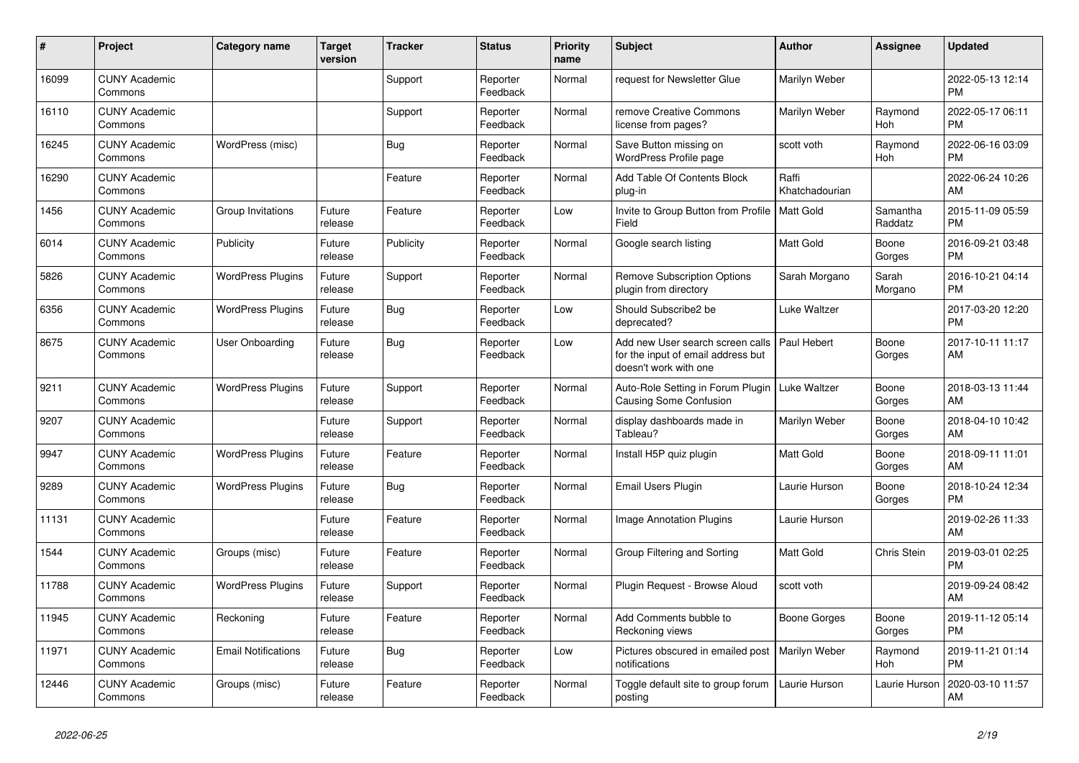| #     | Project                         | <b>Category name</b>       | <b>Target</b><br>version | <b>Tracker</b> | <b>Status</b>        | <b>Priority</b><br>name | <b>Subject</b>                                                                                  | <b>Author</b>           | <b>Assignee</b>     | <b>Updated</b>                |
|-------|---------------------------------|----------------------------|--------------------------|----------------|----------------------|-------------------------|-------------------------------------------------------------------------------------------------|-------------------------|---------------------|-------------------------------|
| 16099 | <b>CUNY Academic</b><br>Commons |                            |                          | Support        | Reporter<br>Feedback | Normal                  | request for Newsletter Glue                                                                     | Marilyn Weber           |                     | 2022-05-13 12:14<br>PM        |
| 16110 | <b>CUNY Academic</b><br>Commons |                            |                          | Support        | Reporter<br>Feedback | Normal                  | remove Creative Commons<br>license from pages?                                                  | Marilyn Weber           | Raymond<br>Hoh      | 2022-05-17 06:11<br>PM        |
| 16245 | <b>CUNY Academic</b><br>Commons | WordPress (misc)           |                          | <b>Bug</b>     | Reporter<br>Feedback | Normal                  | Save Button missing on<br>WordPress Profile page                                                | scott voth              | Raymond<br>Hoh      | 2022-06-16 03:09<br>PM        |
| 16290 | <b>CUNY Academic</b><br>Commons |                            |                          | Feature        | Reporter<br>Feedback | Normal                  | Add Table Of Contents Block<br>plug-in                                                          | Raffi<br>Khatchadourian |                     | 2022-06-24 10:26<br>AM        |
| 1456  | <b>CUNY Academic</b><br>Commons | Group Invitations          | Future<br>release        | Feature        | Reporter<br>Feedback | Low                     | Invite to Group Button from Profile<br>Field                                                    | <b>Matt Gold</b>        | Samantha<br>Raddatz | 2015-11-09 05:59<br>PM        |
| 6014  | <b>CUNY Academic</b><br>Commons | Publicity                  | Future<br>release        | Publicity      | Reporter<br>Feedback | Normal                  | Google search listing                                                                           | Matt Gold               | Boone<br>Gorges     | 2016-09-21 03:48<br><b>PM</b> |
| 5826  | <b>CUNY Academic</b><br>Commons | <b>WordPress Plugins</b>   | Future<br>release        | Support        | Reporter<br>Feedback | Normal                  | <b>Remove Subscription Options</b><br>plugin from directory                                     | Sarah Morgano           | Sarah<br>Morgano    | 2016-10-21 04:14<br><b>PM</b> |
| 6356  | <b>CUNY Academic</b><br>Commons | <b>WordPress Plugins</b>   | Future<br>release        | Bug            | Reporter<br>Feedback | Low                     | Should Subscribe2 be<br>deprecated?                                                             | Luke Waltzer            |                     | 2017-03-20 12:20<br><b>PM</b> |
| 8675  | <b>CUNY Academic</b><br>Commons | User Onboarding            | Future<br>release        | <b>Bug</b>     | Reporter<br>Feedback | Low                     | Add new User search screen calls<br>for the input of email address but<br>doesn't work with one | Paul Hebert             | Boone<br>Gorges     | 2017-10-11 11:17<br>AM        |
| 9211  | <b>CUNY Academic</b><br>Commons | <b>WordPress Plugins</b>   | Future<br>release        | Support        | Reporter<br>Feedback | Normal                  | Auto-Role Setting in Forum Plugin<br><b>Causing Some Confusion</b>                              | Luke Waltzer            | Boone<br>Gorges     | 2018-03-13 11:44<br>AM        |
| 9207  | <b>CUNY Academic</b><br>Commons |                            | Future<br>release        | Support        | Reporter<br>Feedback | Normal                  | display dashboards made in<br>Tableau?                                                          | Marilyn Weber           | Boone<br>Gorges     | 2018-04-10 10:42<br>AM        |
| 9947  | <b>CUNY Academic</b><br>Commons | <b>WordPress Plugins</b>   | Future<br>release        | Feature        | Reporter<br>Feedback | Normal                  | Install H5P quiz plugin                                                                         | Matt Gold               | Boone<br>Gorges     | 2018-09-11 11:01<br>AM        |
| 9289  | <b>CUNY Academic</b><br>Commons | <b>WordPress Plugins</b>   | Future<br>release        | Bug            | Reporter<br>Feedback | Normal                  | <b>Email Users Plugin</b>                                                                       | Laurie Hurson           | Boone<br>Gorges     | 2018-10-24 12:34<br><b>PM</b> |
| 11131 | <b>CUNY Academic</b><br>Commons |                            | Future<br>release        | Feature        | Reporter<br>Feedback | Normal                  | <b>Image Annotation Plugins</b>                                                                 | Laurie Hurson           |                     | 2019-02-26 11:33<br>AM        |
| 1544  | <b>CUNY Academic</b><br>Commons | Groups (misc)              | Future<br>release        | Feature        | Reporter<br>Feedback | Normal                  | Group Filtering and Sorting                                                                     | Matt Gold               | <b>Chris Stein</b>  | 2019-03-01 02:25<br>PM        |
| 11788 | <b>CUNY Academic</b><br>Commons | <b>WordPress Plugins</b>   | Future<br>release        | Support        | Reporter<br>Feedback | Normal                  | Plugin Request - Browse Aloud                                                                   | scott voth              |                     | 2019-09-24 08:42<br>AM        |
| 11945 | <b>CUNY Academic</b><br>Commons | Reckoning                  | Future<br>release        | Feature        | Reporter<br>Feedback | Normal                  | Add Comments bubble to<br>Reckoning views                                                       | <b>Boone Gorges</b>     | Boone<br>Gorges     | 2019-11-12 05:14<br><b>PM</b> |
| 11971 | <b>CUNY Academic</b><br>Commons | <b>Email Notifications</b> | Future<br>release        | Bug            | Reporter<br>Feedback | Low                     | Pictures obscured in emailed post<br>notifications                                              | <b>Marilyn Weber</b>    | Raymond<br>Hoh      | 2019-11-21 01:14<br>PМ        |
| 12446 | <b>CUNY Academic</b><br>Commons | Groups (misc)              | Future<br>release        | Feature        | Reporter<br>Feedback | Normal                  | Toggle default site to group forum<br>posting                                                   | Laurie Hurson           | Laurie Hurson       | 2020-03-10 11:57<br>AM        |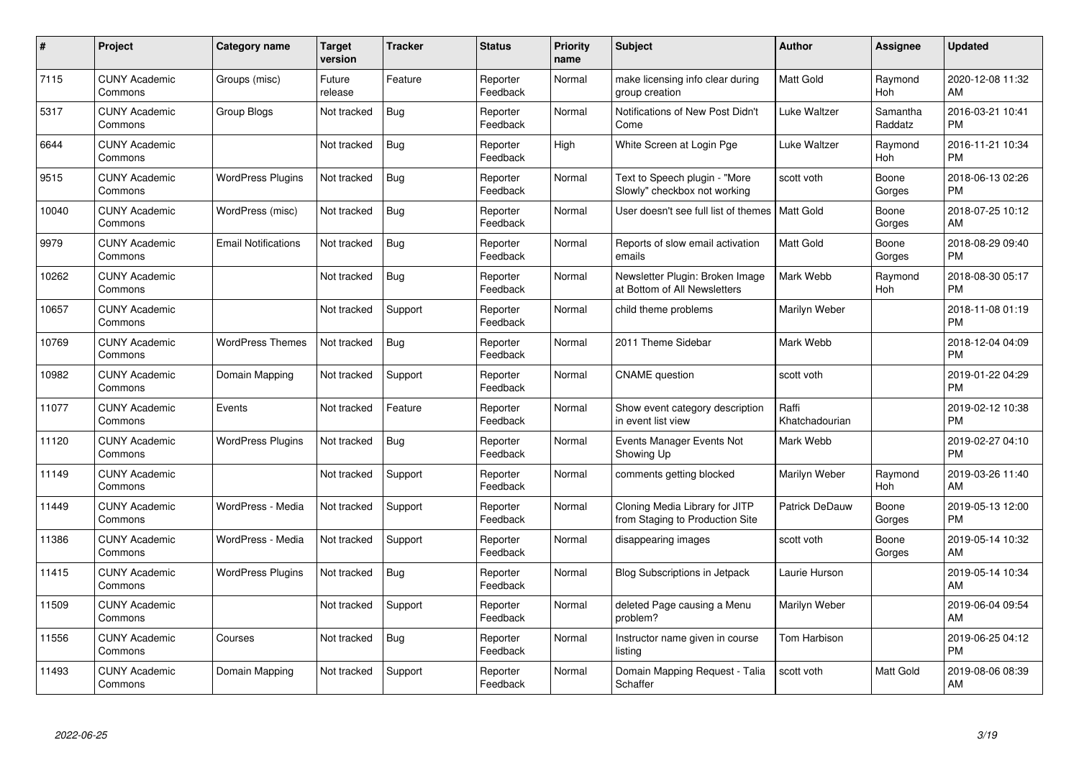| #     | Project                         | <b>Category name</b>       | Target<br>version | <b>Tracker</b> | <b>Status</b>        | <b>Priority</b><br>name | <b>Subject</b>                                                    | <b>Author</b>           | <b>Assignee</b>     | <b>Updated</b>                |
|-------|---------------------------------|----------------------------|-------------------|----------------|----------------------|-------------------------|-------------------------------------------------------------------|-------------------------|---------------------|-------------------------------|
| 7115  | <b>CUNY Academic</b><br>Commons | Groups (misc)              | Future<br>release | Feature        | Reporter<br>Feedback | Normal                  | make licensing info clear during<br>group creation                | <b>Matt Gold</b>        | Raymond<br>Hoh      | 2020-12-08 11:32<br>AM        |
| 5317  | <b>CUNY Academic</b><br>Commons | Group Blogs                | Not tracked       | Bug            | Reporter<br>Feedback | Normal                  | Notifications of New Post Didn't<br>Come                          | Luke Waltzer            | Samantha<br>Raddatz | 2016-03-21 10:41<br><b>PM</b> |
| 6644  | <b>CUNY Academic</b><br>Commons |                            | Not tracked       | <b>Bug</b>     | Reporter<br>Feedback | High                    | White Screen at Login Pge                                         | Luke Waltzer            | Raymond<br>Hoh      | 2016-11-21 10:34<br><b>PM</b> |
| 9515  | <b>CUNY Academic</b><br>Commons | <b>WordPress Plugins</b>   | Not tracked       | <b>Bug</b>     | Reporter<br>Feedback | Normal                  | Text to Speech plugin - "More<br>Slowly" checkbox not working     | scott voth              | Boone<br>Gorges     | 2018-06-13 02:26<br><b>PM</b> |
| 10040 | <b>CUNY Academic</b><br>Commons | WordPress (misc)           | Not tracked       | <b>Bug</b>     | Reporter<br>Feedback | Normal                  | User doesn't see full list of themes                              | <b>Matt Gold</b>        | Boone<br>Gorges     | 2018-07-25 10:12<br>AM        |
| 9979  | <b>CUNY Academic</b><br>Commons | <b>Email Notifications</b> | Not tracked       | <b>Bug</b>     | Reporter<br>Feedback | Normal                  | Reports of slow email activation<br>emails                        | Matt Gold               | Boone<br>Gorges     | 2018-08-29 09:40<br><b>PM</b> |
| 10262 | <b>CUNY Academic</b><br>Commons |                            | Not tracked       | <b>Bug</b>     | Reporter<br>Feedback | Normal                  | Newsletter Plugin: Broken Image<br>at Bottom of All Newsletters   | Mark Webb               | Raymond<br>Hoh      | 2018-08-30 05:17<br><b>PM</b> |
| 10657 | <b>CUNY Academic</b><br>Commons |                            | Not tracked       | Support        | Reporter<br>Feedback | Normal                  | child theme problems                                              | Marilyn Weber           |                     | 2018-11-08 01:19<br><b>PM</b> |
| 10769 | <b>CUNY Academic</b><br>Commons | <b>WordPress Themes</b>    | Not tracked       | <b>Bug</b>     | Reporter<br>Feedback | Normal                  | 2011 Theme Sidebar                                                | Mark Webb               |                     | 2018-12-04 04:09<br><b>PM</b> |
| 10982 | <b>CUNY Academic</b><br>Commons | Domain Mapping             | Not tracked       | Support        | Reporter<br>Feedback | Normal                  | <b>CNAME</b> question                                             | scott voth              |                     | 2019-01-22 04:29<br><b>PM</b> |
| 11077 | <b>CUNY Academic</b><br>Commons | Events                     | Not tracked       | Feature        | Reporter<br>Feedback | Normal                  | Show event category description<br>in event list view             | Raffi<br>Khatchadourian |                     | 2019-02-12 10:38<br><b>PM</b> |
| 11120 | <b>CUNY Academic</b><br>Commons | <b>WordPress Plugins</b>   | Not tracked       | <b>Bug</b>     | Reporter<br>Feedback | Normal                  | Events Manager Events Not<br>Showing Up                           | Mark Webb               |                     | 2019-02-27 04:10<br><b>PM</b> |
| 11149 | <b>CUNY Academic</b><br>Commons |                            | Not tracked       | Support        | Reporter<br>Feedback | Normal                  | comments getting blocked                                          | Marilyn Weber           | Raymond<br>Hoh      | 2019-03-26 11:40<br>AM        |
| 11449 | <b>CUNY Academic</b><br>Commons | WordPress - Media          | Not tracked       | Support        | Reporter<br>Feedback | Normal                  | Cloning Media Library for JITP<br>from Staging to Production Site | Patrick DeDauw          | Boone<br>Gorges     | 2019-05-13 12:00<br><b>PM</b> |
| 11386 | <b>CUNY Academic</b><br>Commons | WordPress - Media          | Not tracked       | Support        | Reporter<br>Feedback | Normal                  | disappearing images                                               | scott voth              | Boone<br>Gorges     | 2019-05-14 10:32<br>AM        |
| 11415 | <b>CUNY Academic</b><br>Commons | <b>WordPress Plugins</b>   | Not tracked       | <b>Bug</b>     | Reporter<br>Feedback | Normal                  | Blog Subscriptions in Jetpack                                     | Laurie Hurson           |                     | 2019-05-14 10:34<br>AM        |
| 11509 | <b>CUNY Academic</b><br>Commons |                            | Not tracked       | Support        | Reporter<br>Feedback | Normal                  | deleted Page causing a Menu<br>problem?                           | Marilyn Weber           |                     | 2019-06-04 09:54<br>AM        |
| 11556 | <b>CUNY Academic</b><br>Commons | Courses                    | Not tracked       | Bug            | Reporter<br>Feedback | Normal                  | Instructor name given in course<br>listing                        | Tom Harbison            |                     | 2019-06-25 04:12<br><b>PM</b> |
| 11493 | <b>CUNY Academic</b><br>Commons | Domain Mapping             | Not tracked       | Support        | Reporter<br>Feedback | Normal                  | Domain Mapping Request - Talia<br>Schaffer                        | scott voth              | Matt Gold           | 2019-08-06 08:39<br>AM        |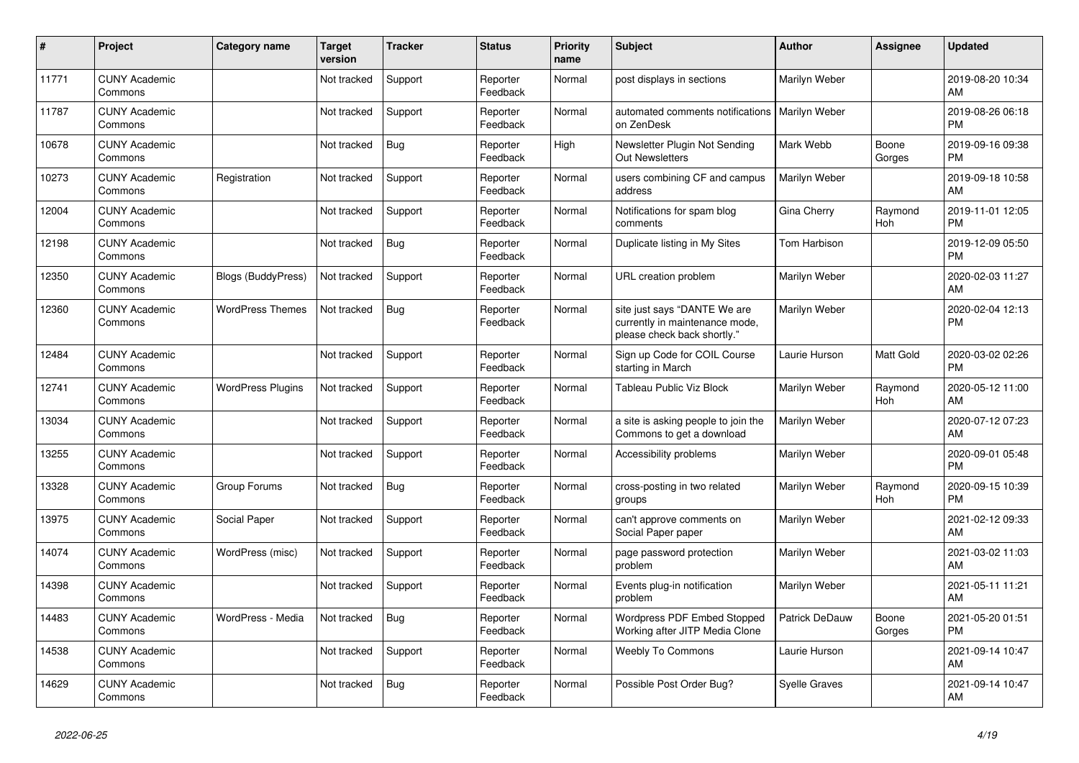| ∦     | Project                         | <b>Category name</b>      | <b>Target</b><br>version | <b>Tracker</b> | <b>Status</b>        | <b>Priority</b><br>name | <b>Subject</b>                                                                                | <b>Author</b>        | <b>Assignee</b> | <b>Updated</b>                |
|-------|---------------------------------|---------------------------|--------------------------|----------------|----------------------|-------------------------|-----------------------------------------------------------------------------------------------|----------------------|-----------------|-------------------------------|
| 11771 | <b>CUNY Academic</b><br>Commons |                           | Not tracked              | Support        | Reporter<br>Feedback | Normal                  | post displays in sections                                                                     | Marilyn Weber        |                 | 2019-08-20 10:34<br>AM        |
| 11787 | <b>CUNY Academic</b><br>Commons |                           | Not tracked              | Support        | Reporter<br>Feedback | Normal                  | automated comments notifications   Marilyn Weber<br>on ZenDesk                                |                      |                 | 2019-08-26 06:18<br><b>PM</b> |
| 10678 | <b>CUNY Academic</b><br>Commons |                           | Not tracked              | <b>Bug</b>     | Reporter<br>Feedback | Hiah                    | Newsletter Plugin Not Sending<br><b>Out Newsletters</b>                                       | Mark Webb            | Boone<br>Gorges | 2019-09-16 09:38<br><b>PM</b> |
| 10273 | <b>CUNY Academic</b><br>Commons | Registration              | Not tracked              | Support        | Reporter<br>Feedback | Normal                  | users combining CF and campus<br>address                                                      | Marilyn Weber        |                 | 2019-09-18 10:58<br>AM        |
| 12004 | <b>CUNY Academic</b><br>Commons |                           | Not tracked              | Support        | Reporter<br>Feedback | Normal                  | Notifications for spam blog<br>comments                                                       | Gina Cherry          | Raymond<br>Hoh  | 2019-11-01 12:05<br><b>PM</b> |
| 12198 | <b>CUNY Academic</b><br>Commons |                           | Not tracked              | <b>Bug</b>     | Reporter<br>Feedback | Normal                  | Duplicate listing in My Sites                                                                 | Tom Harbison         |                 | 2019-12-09 05:50<br><b>PM</b> |
| 12350 | <b>CUNY Academic</b><br>Commons | <b>Blogs (BuddyPress)</b> | Not tracked              | Support        | Reporter<br>Feedback | Normal                  | URL creation problem                                                                          | Marilyn Weber        |                 | 2020-02-03 11:27<br>AM        |
| 12360 | <b>CUNY Academic</b><br>Commons | <b>WordPress Themes</b>   | Not tracked              | <b>Bug</b>     | Reporter<br>Feedback | Normal                  | site just says "DANTE We are<br>currently in maintenance mode,<br>please check back shortly." | Marilyn Weber        |                 | 2020-02-04 12:13<br><b>PM</b> |
| 12484 | <b>CUNY Academic</b><br>Commons |                           | Not tracked              | Support        | Reporter<br>Feedback | Normal                  | Sign up Code for COIL Course<br>starting in March                                             | Laurie Hurson        | Matt Gold       | 2020-03-02 02:26<br><b>PM</b> |
| 12741 | <b>CUNY Academic</b><br>Commons | <b>WordPress Plugins</b>  | Not tracked              | Support        | Reporter<br>Feedback | Normal                  | Tableau Public Viz Block                                                                      | Marilyn Weber        | Raymond<br>Hoh  | 2020-05-12 11:00<br>AM        |
| 13034 | <b>CUNY Academic</b><br>Commons |                           | Not tracked              | Support        | Reporter<br>Feedback | Normal                  | a site is asking people to join the<br>Commons to get a download                              | Marilyn Weber        |                 | 2020-07-12 07:23<br>AM        |
| 13255 | <b>CUNY Academic</b><br>Commons |                           | Not tracked              | Support        | Reporter<br>Feedback | Normal                  | Accessibility problems                                                                        | Marilyn Weber        |                 | 2020-09-01 05:48<br><b>PM</b> |
| 13328 | <b>CUNY Academic</b><br>Commons | Group Forums              | Not tracked              | Bug            | Reporter<br>Feedback | Normal                  | cross-posting in two related<br>groups                                                        | Marilyn Weber        | Raymond<br>Hoh  | 2020-09-15 10:39<br><b>PM</b> |
| 13975 | <b>CUNY Academic</b><br>Commons | Social Paper              | Not tracked              | Support        | Reporter<br>Feedback | Normal                  | can't approve comments on<br>Social Paper paper                                               | Marilyn Weber        |                 | 2021-02-12 09:33<br>AM        |
| 14074 | <b>CUNY Academic</b><br>Commons | WordPress (misc)          | Not tracked              | Support        | Reporter<br>Feedback | Normal                  | page password protection<br>problem                                                           | Marilyn Weber        |                 | 2021-03-02 11:03<br>AM        |
| 14398 | <b>CUNY Academic</b><br>Commons |                           | Not tracked              | Support        | Reporter<br>Feedback | Normal                  | Events plug-in notification<br>problem                                                        | Marilyn Weber        |                 | 2021-05-11 11:21<br>AM        |
| 14483 | <b>CUNY Academic</b><br>Commons | WordPress - Media         | Not tracked              | <b>Bug</b>     | Reporter<br>Feedback | Normal                  | <b>Wordpress PDF Embed Stopped</b><br>Working after JITP Media Clone                          | Patrick DeDauw       | Boone<br>Gorges | 2021-05-20 01:51<br><b>PM</b> |
| 14538 | <b>CUNY Academic</b><br>Commons |                           | Not tracked              | Support        | Reporter<br>Feedback | Normal                  | <b>Weebly To Commons</b>                                                                      | Laurie Hurson        |                 | 2021-09-14 10:47<br>AM        |
| 14629 | <b>CUNY Academic</b><br>Commons |                           | Not tracked              | Bug            | Reporter<br>Feedback | Normal                  | Possible Post Order Bug?                                                                      | <b>Syelle Graves</b> |                 | 2021-09-14 10:47<br>AM        |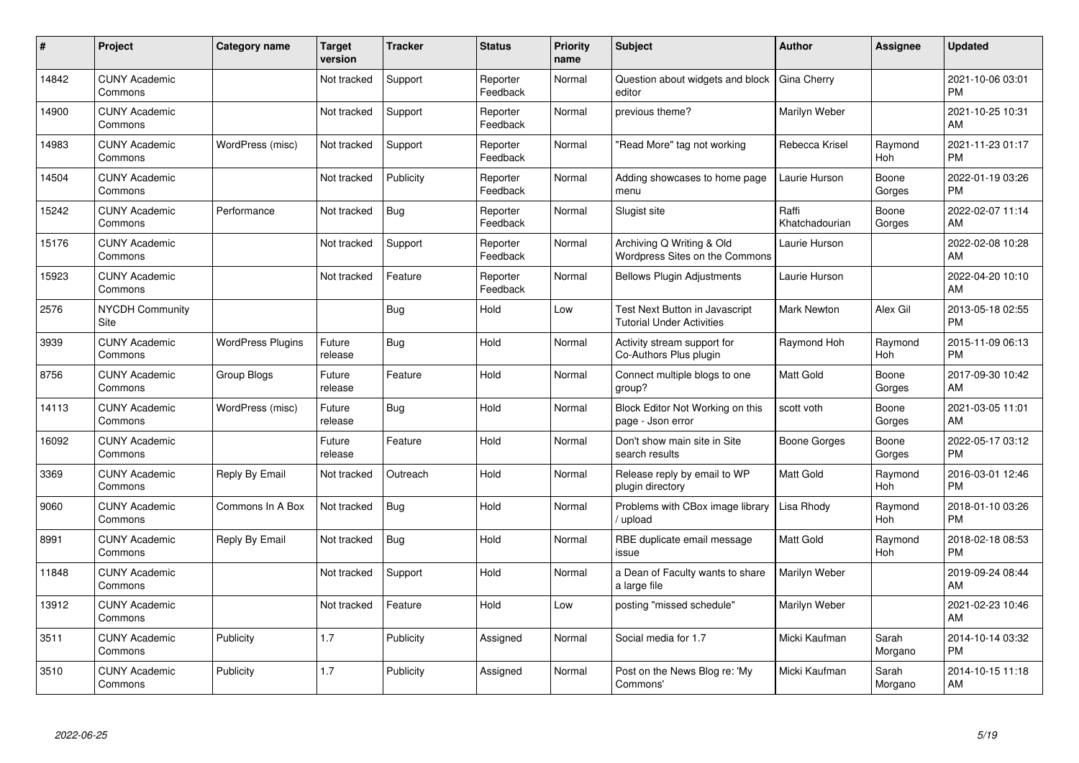| #     | Project                         | <b>Category name</b>     | <b>Target</b><br>version | <b>Tracker</b> | <b>Status</b>        | <b>Priority</b><br>name | <b>Subject</b>                                                     | <b>Author</b>           | <b>Assignee</b>       | <b>Updated</b>                |
|-------|---------------------------------|--------------------------|--------------------------|----------------|----------------------|-------------------------|--------------------------------------------------------------------|-------------------------|-----------------------|-------------------------------|
| 14842 | <b>CUNY Academic</b><br>Commons |                          | Not tracked              | Support        | Reporter<br>Feedback | Normal                  | Question about widgets and block<br>editor                         | Gina Cherry             |                       | 2021-10-06 03:01<br><b>PM</b> |
| 14900 | <b>CUNY Academic</b><br>Commons |                          | Not tracked              | Support        | Reporter<br>Feedback | Normal                  | previous theme?                                                    | Marilyn Weber           |                       | 2021-10-25 10:31<br>AM        |
| 14983 | <b>CUNY Academic</b><br>Commons | WordPress (misc)         | Not tracked              | Support        | Reporter<br>Feedback | Normal                  | "Read More" tag not working                                        | Rebecca Krisel          | Raymond<br>Hoh        | 2021-11-23 01:17<br><b>PM</b> |
| 14504 | <b>CUNY Academic</b><br>Commons |                          | Not tracked              | Publicity      | Reporter<br>Feedback | Normal                  | Adding showcases to home page<br>menu                              | Laurie Hurson           | Boone<br>Gorges       | 2022-01-19 03:26<br><b>PM</b> |
| 15242 | <b>CUNY Academic</b><br>Commons | Performance              | Not tracked              | <b>Bug</b>     | Reporter<br>Feedback | Normal                  | Slugist site                                                       | Raffi<br>Khatchadourian | Boone<br>Gorges       | 2022-02-07 11:14<br>AM        |
| 15176 | <b>CUNY Academic</b><br>Commons |                          | Not tracked              | Support        | Reporter<br>Feedback | Normal                  | Archiving Q Writing & Old<br>Wordpress Sites on the Commons        | Laurie Hurson           |                       | 2022-02-08 10:28<br>AM        |
| 15923 | <b>CUNY Academic</b><br>Commons |                          | Not tracked              | Feature        | Reporter<br>Feedback | Normal                  | <b>Bellows Plugin Adjustments</b>                                  | Laurie Hurson           |                       | 2022-04-20 10:10<br>AM        |
| 2576  | <b>NYCDH Community</b><br>Site  |                          |                          | <b>Bug</b>     | Hold                 | Low                     | Test Next Button in Javascript<br><b>Tutorial Under Activities</b> | Mark Newton             | Alex Gil              | 2013-05-18 02:55<br><b>PM</b> |
| 3939  | <b>CUNY Academic</b><br>Commons | <b>WordPress Plugins</b> | Future<br>release        | Bug            | Hold                 | Normal                  | Activity stream support for<br>Co-Authors Plus plugin              | Raymond Hoh             | Raymond<br><b>Hoh</b> | 2015-11-09 06:13<br><b>PM</b> |
| 8756  | <b>CUNY Academic</b><br>Commons | Group Blogs              | Future<br>release        | Feature        | Hold                 | Normal                  | Connect multiple blogs to one<br>group?                            | <b>Matt Gold</b>        | Boone<br>Gorges       | 2017-09-30 10:42<br>AM        |
| 14113 | <b>CUNY Academic</b><br>Commons | WordPress (misc)         | Future<br>release        | <b>Bug</b>     | Hold                 | Normal                  | Block Editor Not Working on this<br>page - Json error              | scott voth              | Boone<br>Gorges       | 2021-03-05 11:01<br>AM        |
| 16092 | <b>CUNY Academic</b><br>Commons |                          | Future<br>release        | Feature        | Hold                 | Normal                  | Don't show main site in Site<br>search results                     | Boone Gorges            | Boone<br>Gorges       | 2022-05-17 03:12<br><b>PM</b> |
| 3369  | <b>CUNY Academic</b><br>Commons | Reply By Email           | Not tracked              | Outreach       | Hold                 | Normal                  | Release reply by email to WP<br>plugin directory                   | <b>Matt Gold</b>        | Raymond<br>Hoh        | 2016-03-01 12:46<br><b>PM</b> |
| 9060  | <b>CUNY Academic</b><br>Commons | Commons In A Box         | Not tracked              | Bug            | Hold                 | Normal                  | Problems with CBox image library<br>upload                         | Lisa Rhody              | Raymond<br>Hoh        | 2018-01-10 03:26<br><b>PM</b> |
| 8991  | <b>CUNY Academic</b><br>Commons | Reply By Email           | Not tracked              | <b>Bug</b>     | Hold                 | Normal                  | RBE duplicate email message<br>issue                               | <b>Matt Gold</b>        | Raymond<br>Hoh        | 2018-02-18 08:53<br><b>PM</b> |
| 11848 | <b>CUNY Academic</b><br>Commons |                          | Not tracked              | Support        | Hold                 | Normal                  | a Dean of Faculty wants to share<br>a large file                   | Marilyn Weber           |                       | 2019-09-24 08:44<br>AM        |
| 13912 | <b>CUNY Academic</b><br>Commons |                          | Not tracked              | Feature        | Hold                 | Low                     | posting "missed schedule"                                          | Marilyn Weber           |                       | 2021-02-23 10:46<br>AM        |
| 3511  | <b>CUNY Academic</b><br>Commons | Publicity                | 1.7                      | Publicity      | Assigned             | Normal                  | Social media for 1.7                                               | Micki Kaufman           | Sarah<br>Morgano      | 2014-10-14 03:32<br><b>PM</b> |
| 3510  | <b>CUNY Academic</b><br>Commons | Publicity                | 1.7                      | Publicity      | Assigned             | Normal                  | Post on the News Blog re: 'My<br>Commons'                          | Micki Kaufman           | Sarah<br>Morgano      | 2014-10-15 11:18<br>AM        |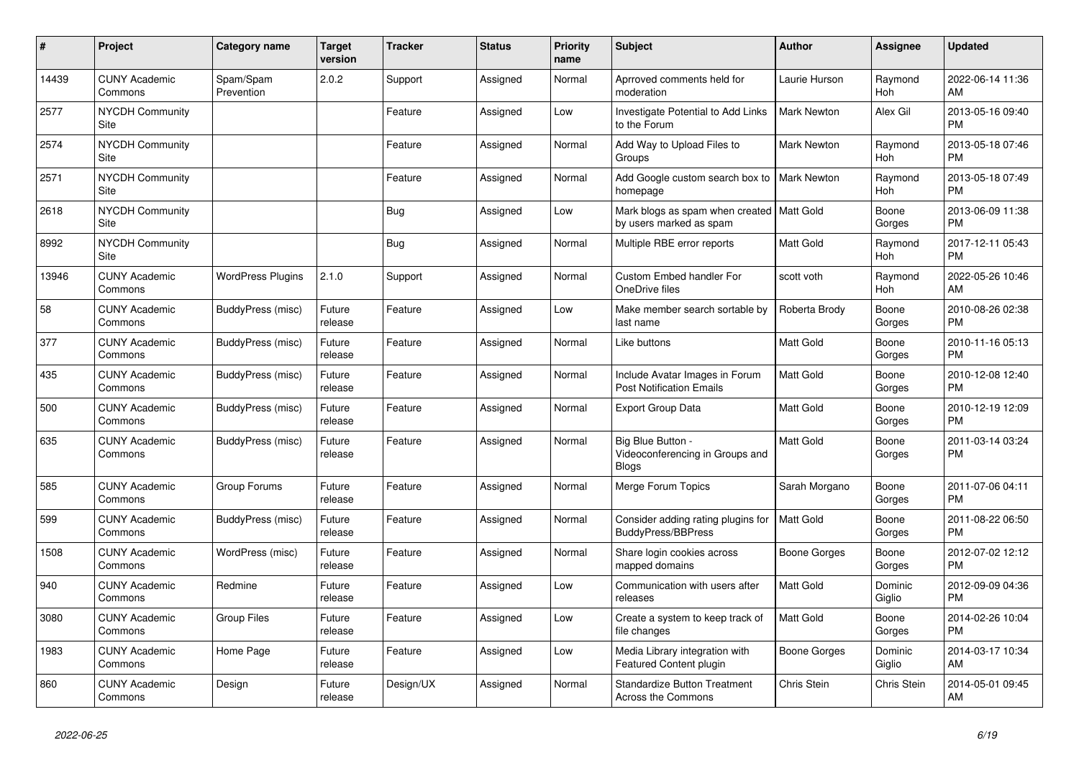| $\pmb{\sharp}$ | Project                               | <b>Category name</b>     | <b>Target</b><br>version | Tracker   | <b>Status</b> | <b>Priority</b><br>name | <b>Subject</b>                                                         | <b>Author</b>      | <b>Assignee</b>       | <b>Updated</b>                |
|----------------|---------------------------------------|--------------------------|--------------------------|-----------|---------------|-------------------------|------------------------------------------------------------------------|--------------------|-----------------------|-------------------------------|
| 14439          | <b>CUNY Academic</b><br>Commons       | Spam/Spam<br>Prevention  | 2.0.2                    | Support   | Assigned      | Normal                  | Aprroved comments held for<br>moderation                               | Laurie Hurson      | Raymond<br><b>Hoh</b> | 2022-06-14 11:36<br>AM        |
| 2577           | <b>NYCDH Community</b><br>Site        |                          |                          | Feature   | Assigned      | Low                     | Investigate Potential to Add Links<br>to the Forum                     | <b>Mark Newton</b> | Alex Gil              | 2013-05-16 09:40<br><b>PM</b> |
| 2574           | <b>NYCDH Community</b><br><b>Site</b> |                          |                          | Feature   | Assigned      | Normal                  | Add Way to Upload Files to<br>Groups                                   | <b>Mark Newton</b> | Raymond<br>Hoh        | 2013-05-18 07:46<br><b>PM</b> |
| 2571           | <b>NYCDH Community</b><br>Site        |                          |                          | Feature   | Assigned      | Normal                  | Add Google custom search box to<br>homepage                            | <b>Mark Newton</b> | Raymond<br><b>Hoh</b> | 2013-05-18 07:49<br><b>PM</b> |
| 2618           | <b>NYCDH Community</b><br>Site        |                          |                          | Bug       | Assigned      | Low                     | Mark blogs as spam when created   Matt Gold<br>by users marked as spam |                    | Boone<br>Gorges       | 2013-06-09 11:38<br><b>PM</b> |
| 8992           | <b>NYCDH Community</b><br>Site        |                          |                          | Bug       | Assigned      | Normal                  | Multiple RBE error reports                                             | Matt Gold          | Raymond<br>Hoh        | 2017-12-11 05:43<br><b>PM</b> |
| 13946          | <b>CUNY Academic</b><br>Commons       | <b>WordPress Plugins</b> | 2.1.0                    | Support   | Assigned      | Normal                  | <b>Custom Embed handler For</b><br>OneDrive files                      | scott voth         | Raymond<br>Hoh        | 2022-05-26 10:46<br>AM        |
| 58             | <b>CUNY Academic</b><br>Commons       | BuddyPress (misc)        | Future<br>release        | Feature   | Assigned      | Low                     | Make member search sortable by<br>last name                            | Roberta Brody      | Boone<br>Gorges       | 2010-08-26 02:38<br><b>PM</b> |
| 377            | <b>CUNY Academic</b><br>Commons       | BuddyPress (misc)        | Future<br>release        | Feature   | Assigned      | Normal                  | Like buttons                                                           | Matt Gold          | Boone<br>Gorges       | 2010-11-16 05:13<br><b>PM</b> |
| 435            | <b>CUNY Academic</b><br>Commons       | BuddyPress (misc)        | Future<br>release        | Feature   | Assigned      | Normal                  | Include Avatar Images in Forum<br><b>Post Notification Emails</b>      | <b>Matt Gold</b>   | Boone<br>Gorges       | 2010-12-08 12:40<br><b>PM</b> |
| 500            | <b>CUNY Academic</b><br>Commons       | BuddyPress (misc)        | Future<br>release        | Feature   | Assigned      | Normal                  | <b>Export Group Data</b>                                               | Matt Gold          | Boone<br>Gorges       | 2010-12-19 12:09<br><b>PM</b> |
| 635            | <b>CUNY Academic</b><br>Commons       | BuddyPress (misc)        | Future<br>release        | Feature   | Assigned      | Normal                  | Big Blue Button -<br>Videoconferencing in Groups and<br><b>Blogs</b>   | Matt Gold          | Boone<br>Gorges       | 2011-03-14 03:24<br><b>PM</b> |
| 585            | <b>CUNY Academic</b><br>Commons       | Group Forums             | Future<br>release        | Feature   | Assigned      | Normal                  | Merge Forum Topics                                                     | Sarah Morgano      | Boone<br>Gorges       | 2011-07-06 04:11<br><b>PM</b> |
| 599            | <b>CUNY Academic</b><br>Commons       | BuddyPress (misc)        | Future<br>release        | Feature   | Assigned      | Normal                  | Consider adding rating plugins for<br>BuddyPress/BBPress               | <b>Matt Gold</b>   | Boone<br>Gorges       | 2011-08-22 06:50<br><b>PM</b> |
| 1508           | <b>CUNY Academic</b><br>Commons       | WordPress (misc)         | Future<br>release        | Feature   | Assigned      | Normal                  | Share login cookies across<br>mapped domains                           | Boone Gorges       | Boone<br>Gorges       | 2012-07-02 12:12<br><b>PM</b> |
| 940            | <b>CUNY Academic</b><br>Commons       | Redmine                  | Future<br>release        | Feature   | Assigned      | Low                     | Communication with users after<br>releases                             | <b>Matt Gold</b>   | Dominic<br>Giglio     | 2012-09-09 04:36<br><b>PM</b> |
| 3080           | <b>CUNY Academic</b><br>Commons       | <b>Group Files</b>       | Future<br>release        | Feature   | Assigned      | Low                     | Create a system to keep track of<br>file changes                       | Matt Gold          | Boone<br>Gorges       | 2014-02-26 10:04<br><b>PM</b> |
| 1983           | <b>CUNY Academic</b><br>Commons       | Home Page                | Future<br>release        | Feature   | Assigned      | Low                     | Media Library integration with<br><b>Featured Content plugin</b>       | Boone Gorges       | Dominic<br>Giglio     | 2014-03-17 10:34<br>AM        |
| 860            | <b>CUNY Academic</b><br>Commons       | Design                   | Future<br>release        | Design/UX | Assigned      | Normal                  | <b>Standardize Button Treatment</b><br>Across the Commons              | Chris Stein        | Chris Stein           | 2014-05-01 09:45<br>AM        |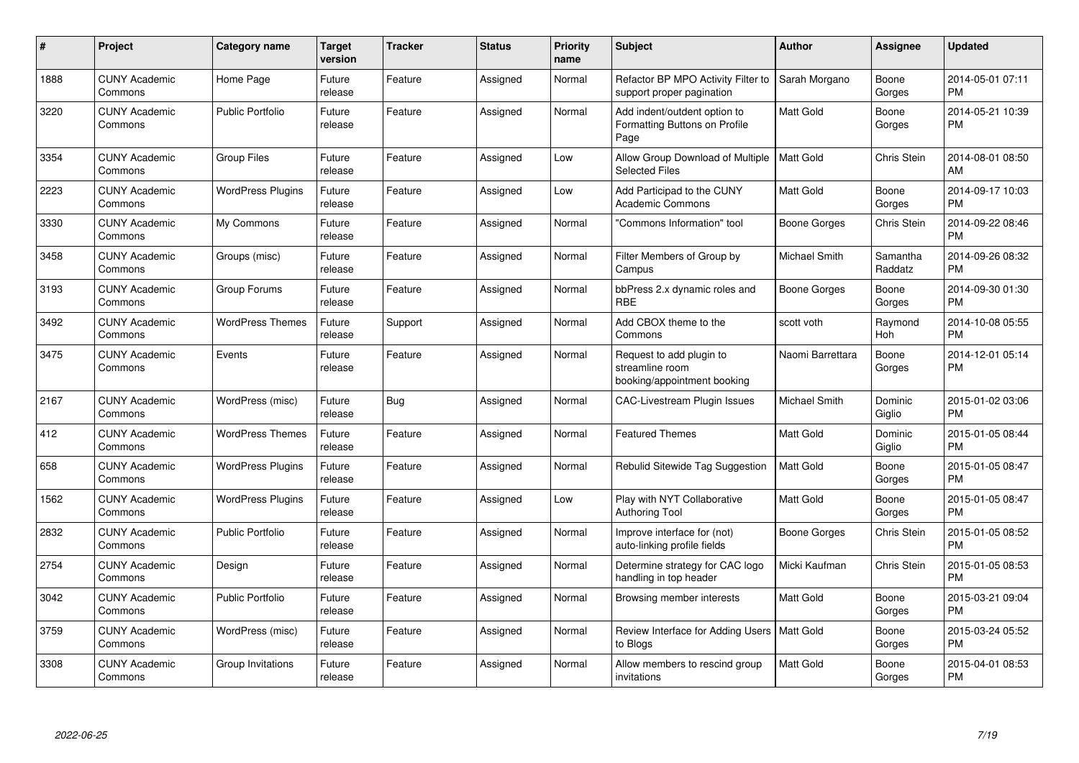| #    | Project                         | <b>Category name</b>     | Target<br>version | <b>Tracker</b> | <b>Status</b> | <b>Priority</b><br>name | <b>Subject</b>                                                             | <b>Author</b>    | <b>Assignee</b>       | <b>Updated</b>                |
|------|---------------------------------|--------------------------|-------------------|----------------|---------------|-------------------------|----------------------------------------------------------------------------|------------------|-----------------------|-------------------------------|
| 1888 | <b>CUNY Academic</b><br>Commons | Home Page                | Future<br>release | Feature        | Assigned      | Normal                  | Refactor BP MPO Activity Filter to<br>support proper pagination            | Sarah Morgano    | Boone<br>Gorges       | 2014-05-01 07:11<br><b>PM</b> |
| 3220 | <b>CUNY Academic</b><br>Commons | <b>Public Portfolio</b>  | Future<br>release | Feature        | Assigned      | Normal                  | Add indent/outdent option to<br>Formatting Buttons on Profile<br>Page      | Matt Gold        | Boone<br>Gorges       | 2014-05-21 10:39<br><b>PM</b> |
| 3354 | <b>CUNY Academic</b><br>Commons | <b>Group Files</b>       | Future<br>release | Feature        | Assigned      | Low                     | Allow Group Download of Multiple<br><b>Selected Files</b>                  | <b>Matt Gold</b> | Chris Stein           | 2014-08-01 08:50<br>AM        |
| 2223 | <b>CUNY Academic</b><br>Commons | <b>WordPress Plugins</b> | Future<br>release | Feature        | Assigned      | Low                     | Add Participad to the CUNY<br><b>Academic Commons</b>                      | <b>Matt Gold</b> | Boone<br>Gorges       | 2014-09-17 10:03<br><b>PM</b> |
| 3330 | <b>CUNY Academic</b><br>Commons | My Commons               | Future<br>release | Feature        | Assigned      | Normal                  | "Commons Information" tool                                                 | Boone Gorges     | Chris Stein           | 2014-09-22 08:46<br><b>PM</b> |
| 3458 | <b>CUNY Academic</b><br>Commons | Groups (misc)            | Future<br>release | Feature        | Assigned      | Normal                  | Filter Members of Group by<br>Campus                                       | Michael Smith    | Samantha<br>Raddatz   | 2014-09-26 08:32<br><b>PM</b> |
| 3193 | <b>CUNY Academic</b><br>Commons | Group Forums             | Future<br>release | Feature        | Assigned      | Normal                  | bbPress 2.x dynamic roles and<br><b>RBE</b>                                | Boone Gorges     | Boone<br>Gorges       | 2014-09-30 01:30<br><b>PM</b> |
| 3492 | <b>CUNY Academic</b><br>Commons | <b>WordPress Themes</b>  | Future<br>release | Support        | Assigned      | Normal                  | Add CBOX theme to the<br>Commons                                           | scott voth       | Raymond<br><b>Hoh</b> | 2014-10-08 05:55<br><b>PM</b> |
| 3475 | <b>CUNY Academic</b><br>Commons | Events                   | Future<br>release | Feature        | Assigned      | Normal                  | Request to add plugin to<br>streamline room<br>booking/appointment booking | Naomi Barrettara | Boone<br>Gorges       | 2014-12-01 05:14<br><b>PM</b> |
| 2167 | <b>CUNY Academic</b><br>Commons | WordPress (misc)         | Future<br>release | <b>Bug</b>     | Assigned      | Normal                  | CAC-Livestream Plugin Issues                                               | Michael Smith    | Dominic<br>Giglio     | 2015-01-02 03:06<br><b>PM</b> |
| 412  | <b>CUNY Academic</b><br>Commons | <b>WordPress Themes</b>  | Future<br>release | Feature        | Assigned      | Normal                  | <b>Featured Themes</b>                                                     | <b>Matt Gold</b> | Dominic<br>Giglio     | 2015-01-05 08:44<br><b>PM</b> |
| 658  | <b>CUNY Academic</b><br>Commons | <b>WordPress Plugins</b> | Future<br>release | Feature        | Assigned      | Normal                  | Rebulid Sitewide Tag Suggestion                                            | <b>Matt Gold</b> | Boone<br>Gorges       | 2015-01-05 08:47<br><b>PM</b> |
| 1562 | <b>CUNY Academic</b><br>Commons | <b>WordPress Plugins</b> | Future<br>release | Feature        | Assigned      | Low                     | Play with NYT Collaborative<br>Authoring Tool                              | <b>Matt Gold</b> | Boone<br>Gorges       | 2015-01-05 08:47<br><b>PM</b> |
| 2832 | <b>CUNY Academic</b><br>Commons | <b>Public Portfolio</b>  | Future<br>release | Feature        | Assigned      | Normal                  | Improve interface for (not)<br>auto-linking profile fields                 | Boone Gorges     | Chris Stein           | 2015-01-05 08:52<br><b>PM</b> |
| 2754 | <b>CUNY Academic</b><br>Commons | Design                   | Future<br>release | Feature        | Assigned      | Normal                  | Determine strategy for CAC logo<br>handling in top header                  | Micki Kaufman    | Chris Stein           | 2015-01-05 08:53<br><b>PM</b> |
| 3042 | <b>CUNY Academic</b><br>Commons | <b>Public Portfolio</b>  | Future<br>release | Feature        | Assigned      | Normal                  | Browsing member interests                                                  | Matt Gold        | Boone<br>Gorges       | 2015-03-21 09:04<br><b>PM</b> |
| 3759 | <b>CUNY Academic</b><br>Commons | WordPress (misc)         | Future<br>release | Feature        | Assigned      | Normal                  | Review Interface for Adding Users<br>to Blogs                              | <b>Matt Gold</b> | Boone<br>Gorges       | 2015-03-24 05:52<br><b>PM</b> |
| 3308 | <b>CUNY Academic</b><br>Commons | Group Invitations        | Future<br>release | Feature        | Assigned      | Normal                  | Allow members to rescind group<br>invitations                              | Matt Gold        | Boone<br>Gorges       | 2015-04-01 08:53<br><b>PM</b> |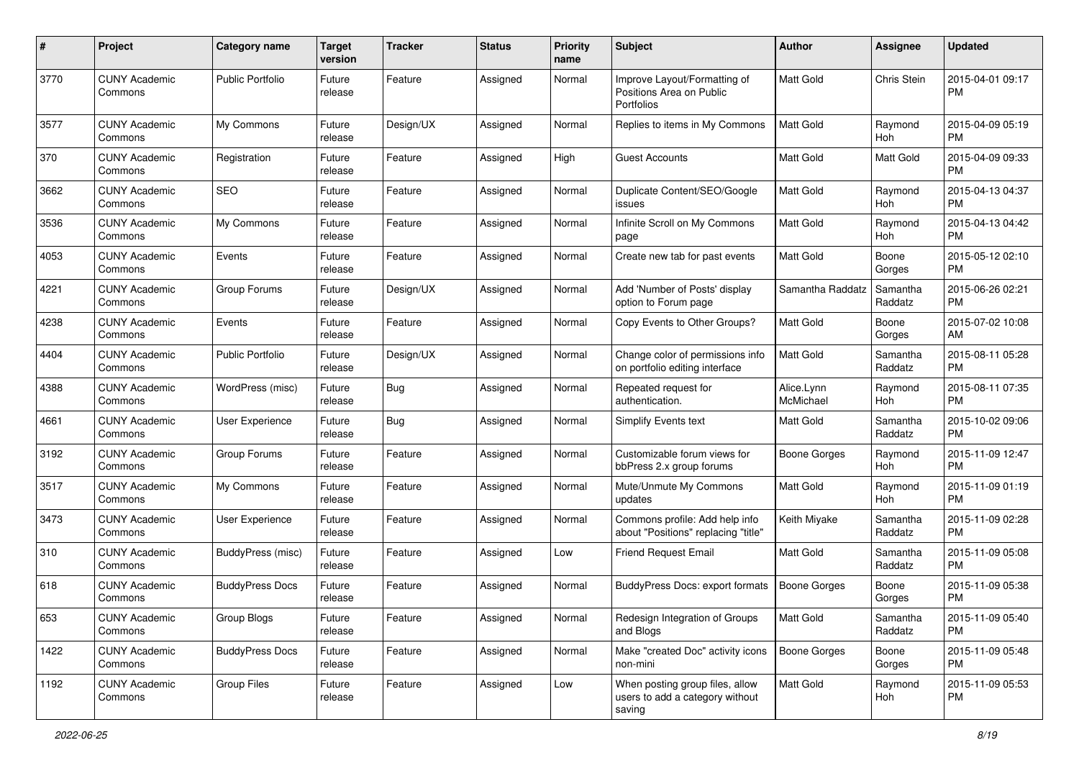| #    | Project                         | <b>Category name</b>    | <b>Target</b><br>version | <b>Tracker</b> | <b>Status</b> | <b>Priority</b><br>name | <b>Subject</b>                                                                | Author                  | Assignee            | <b>Updated</b>                |
|------|---------------------------------|-------------------------|--------------------------|----------------|---------------|-------------------------|-------------------------------------------------------------------------------|-------------------------|---------------------|-------------------------------|
| 3770 | <b>CUNY Academic</b><br>Commons | <b>Public Portfolio</b> | Future<br>release        | Feature        | Assigned      | Normal                  | Improve Layout/Formatting of<br>Positions Area on Public<br><b>Portfolios</b> | <b>Matt Gold</b>        | Chris Stein         | 2015-04-01 09:17<br><b>PM</b> |
| 3577 | <b>CUNY Academic</b><br>Commons | My Commons              | Future<br>release        | Design/UX      | Assigned      | Normal                  | Replies to items in My Commons                                                | <b>Matt Gold</b>        | Raymond<br>Hoh      | 2015-04-09 05:19<br><b>PM</b> |
| 370  | <b>CUNY Academic</b><br>Commons | Registration            | Future<br>release        | Feature        | Assigned      | High                    | <b>Guest Accounts</b>                                                         | Matt Gold               | Matt Gold           | 2015-04-09 09:33<br><b>PM</b> |
| 3662 | <b>CUNY Academic</b><br>Commons | <b>SEO</b>              | Future<br>release        | Feature        | Assigned      | Normal                  | Duplicate Content/SEO/Google<br>issues                                        | <b>Matt Gold</b>        | Raymond<br>Hoh      | 2015-04-13 04:37<br><b>PM</b> |
| 3536 | <b>CUNY Academic</b><br>Commons | My Commons              | Future<br>release        | Feature        | Assigned      | Normal                  | Infinite Scroll on My Commons<br>page                                         | <b>Matt Gold</b>        | Raymond<br>Hoh      | 2015-04-13 04:42<br><b>PM</b> |
| 4053 | <b>CUNY Academic</b><br>Commons | Events                  | Future<br>release        | Feature        | Assigned      | Normal                  | Create new tab for past events                                                | <b>Matt Gold</b>        | Boone<br>Gorges     | 2015-05-12 02:10<br><b>PM</b> |
| 4221 | <b>CUNY Academic</b><br>Commons | Group Forums            | Future<br>release        | Design/UX      | Assigned      | Normal                  | Add 'Number of Posts' display<br>option to Forum page                         | Samantha Raddatz        | Samantha<br>Raddatz | 2015-06-26 02:21<br><b>PM</b> |
| 4238 | <b>CUNY Academic</b><br>Commons | Events                  | Future<br>release        | Feature        | Assigned      | Normal                  | Copy Events to Other Groups?                                                  | Matt Gold               | Boone<br>Gorges     | 2015-07-02 10:08<br>AM        |
| 4404 | <b>CUNY Academic</b><br>Commons | <b>Public Portfolio</b> | Future<br>release        | Design/UX      | Assigned      | Normal                  | Change color of permissions info<br>on portfolio editing interface            | <b>Matt Gold</b>        | Samantha<br>Raddatz | 2015-08-11 05:28<br><b>PM</b> |
| 4388 | <b>CUNY Academic</b><br>Commons | WordPress (misc)        | Future<br>release        | Bug            | Assigned      | Normal                  | Repeated request for<br>authentication.                                       | Alice.Lynn<br>McMichael | Raymond<br>Hoh      | 2015-08-11 07:35<br><b>PM</b> |
| 4661 | <b>CUNY Academic</b><br>Commons | User Experience         | Future<br>release        | Bug            | Assigned      | Normal                  | Simplify Events text                                                          | <b>Matt Gold</b>        | Samantha<br>Raddatz | 2015-10-02 09:06<br><b>PM</b> |
| 3192 | <b>CUNY Academic</b><br>Commons | Group Forums            | Future<br>release        | Feature        | Assigned      | Normal                  | Customizable forum views for<br>bbPress 2.x group forums                      | <b>Boone Gorges</b>     | Raymond<br>Hoh      | 2015-11-09 12:47<br><b>PM</b> |
| 3517 | <b>CUNY Academic</b><br>Commons | My Commons              | Future<br>release        | Feature        | Assigned      | Normal                  | Mute/Unmute My Commons<br>updates                                             | <b>Matt Gold</b>        | Raymond<br>Hoh      | 2015-11-09 01:19<br><b>PM</b> |
| 3473 | <b>CUNY Academic</b><br>Commons | User Experience         | Future<br>release        | Feature        | Assigned      | Normal                  | Commons profile: Add help info<br>about "Positions" replacing "title"         | Keith Miyake            | Samantha<br>Raddatz | 2015-11-09 02:28<br><b>PM</b> |
| 310  | <b>CUNY Academic</b><br>Commons | BuddyPress (misc)       | Future<br>release        | Feature        | Assigned      | Low                     | <b>Friend Request Email</b>                                                   | <b>Matt Gold</b>        | Samantha<br>Raddatz | 2015-11-09 05:08<br><b>PM</b> |
| 618  | <b>CUNY Academic</b><br>Commons | <b>BuddyPress Docs</b>  | Future<br>release        | Feature        | Assigned      | Normal                  | BuddyPress Docs: export formats                                               | <b>Boone Gorges</b>     | Boone<br>Gorges     | 2015-11-09 05:38<br><b>PM</b> |
| 653  | <b>CUNY Academic</b><br>Commons | Group Blogs             | Future<br>release        | Feature        | Assigned      | Normal                  | Redesign Integration of Groups<br>and Blogs                                   | Matt Gold               | Samantha<br>Raddatz | 2015-11-09 05:40<br>PM        |
| 1422 | <b>CUNY Academic</b><br>Commons | <b>BuddyPress Docs</b>  | Future<br>release        | Feature        | Assigned      | Normal                  | Make "created Doc" activity icons<br>non-mini                                 | <b>Boone Gorges</b>     | Boone<br>Gorges     | 2015-11-09 05:48<br><b>PM</b> |
| 1192 | <b>CUNY Academic</b><br>Commons | Group Files             | Future<br>release        | Feature        | Assigned      | Low                     | When posting group files, allow<br>users to add a category without<br>saving  | Matt Gold               | Raymond<br>Hoh      | 2015-11-09 05:53<br><b>PM</b> |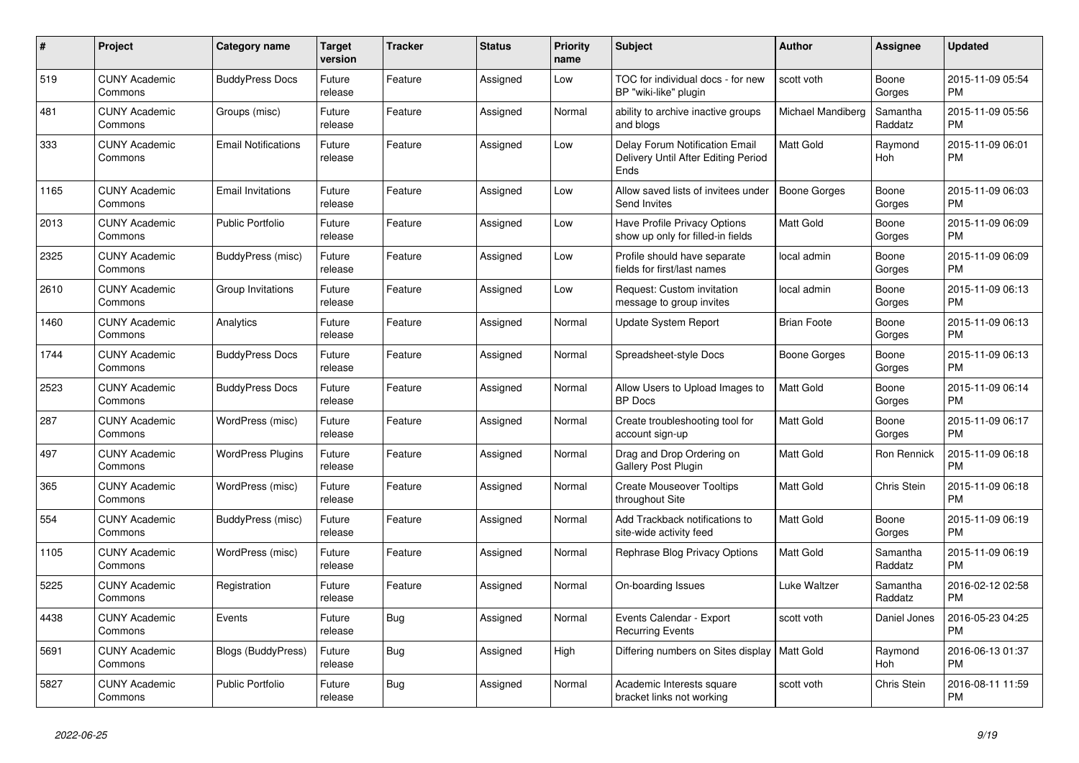| $\#$ | <b>Project</b>                  | Category name              | <b>Target</b><br>version | <b>Tracker</b> | <b>Status</b> | <b>Priority</b><br>name | <b>Subject</b>                                                                | <b>Author</b>       | <b>Assignee</b>       | <b>Updated</b>                |
|------|---------------------------------|----------------------------|--------------------------|----------------|---------------|-------------------------|-------------------------------------------------------------------------------|---------------------|-----------------------|-------------------------------|
| 519  | <b>CUNY Academic</b><br>Commons | <b>BuddyPress Docs</b>     | Future<br>release        | Feature        | Assigned      | Low                     | TOC for individual docs - for new<br>BP "wiki-like" plugin                    | scott voth          | Boone<br>Gorges       | 2015-11-09 05:54<br><b>PM</b> |
| 481  | <b>CUNY Academic</b><br>Commons | Groups (misc)              | Future<br>release        | Feature        | Assigned      | Normal                  | ability to archive inactive groups<br>and blogs                               | Michael Mandiberg   | Samantha<br>Raddatz   | 2015-11-09 05:56<br><b>PM</b> |
| 333  | <b>CUNY Academic</b><br>Commons | <b>Email Notifications</b> | Future<br>release        | Feature        | Assigned      | Low                     | Delay Forum Notification Email<br>Delivery Until After Editing Period<br>Ends | Matt Gold           | Raymond<br>Hoh        | 2015-11-09 06:01<br><b>PM</b> |
| 1165 | <b>CUNY Academic</b><br>Commons | <b>Email Invitations</b>   | Future<br>release        | Feature        | Assigned      | Low                     | Allow saved lists of invitees under<br>Send Invites                           | <b>Boone Gorges</b> | Boone<br>Gorges       | 2015-11-09 06:03<br><b>PM</b> |
| 2013 | <b>CUNY Academic</b><br>Commons | <b>Public Portfolio</b>    | Future<br>release        | Feature        | Assigned      | Low                     | Have Profile Privacy Options<br>show up only for filled-in fields             | <b>Matt Gold</b>    | Boone<br>Gorges       | 2015-11-09 06:09<br><b>PM</b> |
| 2325 | <b>CUNY Academic</b><br>Commons | BuddyPress (misc)          | Future<br>release        | Feature        | Assigned      | Low                     | Profile should have separate<br>fields for first/last names                   | local admin         | Boone<br>Gorges       | 2015-11-09 06:09<br><b>PM</b> |
| 2610 | <b>CUNY Academic</b><br>Commons | Group Invitations          | Future<br>release        | Feature        | Assigned      | Low                     | Request: Custom invitation<br>message to group invites                        | local admin         | Boone<br>Gorges       | 2015-11-09 06:13<br><b>PM</b> |
| 1460 | <b>CUNY Academic</b><br>Commons | Analytics                  | Future<br>release        | Feature        | Assigned      | Normal                  | Update System Report                                                          | <b>Brian Foote</b>  | Boone<br>Gorges       | 2015-11-09 06:13<br><b>PM</b> |
| 1744 | <b>CUNY Academic</b><br>Commons | <b>BuddyPress Docs</b>     | Future<br>release        | Feature        | Assigned      | Normal                  | Spreadsheet-style Docs                                                        | <b>Boone Gorges</b> | Boone<br>Gorges       | 2015-11-09 06:13<br><b>PM</b> |
| 2523 | <b>CUNY Academic</b><br>Commons | <b>BuddyPress Docs</b>     | Future<br>release        | Feature        | Assigned      | Normal                  | Allow Users to Upload Images to<br><b>BP</b> Docs                             | <b>Matt Gold</b>    | Boone<br>Gorges       | 2015-11-09 06:14<br><b>PM</b> |
| 287  | <b>CUNY Academic</b><br>Commons | WordPress (misc)           | Future<br>release        | Feature        | Assigned      | Normal                  | Create troubleshooting tool for<br>account sign-up                            | <b>Matt Gold</b>    | Boone<br>Gorges       | 2015-11-09 06:17<br><b>PM</b> |
| 497  | <b>CUNY Academic</b><br>Commons | <b>WordPress Plugins</b>   | Future<br>release        | Feature        | Assigned      | Normal                  | Drag and Drop Ordering on<br><b>Gallery Post Plugin</b>                       | Matt Gold           | Ron Rennick           | 2015-11-09 06:18<br><b>PM</b> |
| 365  | <b>CUNY Academic</b><br>Commons | WordPress (misc)           | Future<br>release        | Feature        | Assigned      | Normal                  | <b>Create Mouseover Tooltips</b><br>throughout Site                           | <b>Matt Gold</b>    | Chris Stein           | 2015-11-09 06:18<br><b>PM</b> |
| 554  | <b>CUNY Academic</b><br>Commons | BuddyPress (misc)          | Future<br>release        | Feature        | Assigned      | Normal                  | Add Trackback notifications to<br>site-wide activity feed                     | Matt Gold           | Boone<br>Gorges       | 2015-11-09 06:19<br><b>PM</b> |
| 1105 | <b>CUNY Academic</b><br>Commons | WordPress (misc)           | Future<br>release        | Feature        | Assigned      | Normal                  | Rephrase Blog Privacy Options                                                 | <b>Matt Gold</b>    | Samantha<br>Raddatz   | 2015-11-09 06:19<br><b>PM</b> |
| 5225 | <b>CUNY Academic</b><br>Commons | Registration               | Future<br>release        | Feature        | Assigned      | Normal                  | On-boarding Issues                                                            | Luke Waltzer        | Samantha<br>Raddatz   | 2016-02-12 02:58<br><b>PM</b> |
| 4438 | <b>CUNY Academic</b><br>Commons | Events                     | Future<br>release        | Bug            | Assigned      | Normal                  | Events Calendar - Export<br><b>Recurring Events</b>                           | scott voth          | Daniel Jones          | 2016-05-23 04:25<br><b>PM</b> |
| 5691 | <b>CUNY Academic</b><br>Commons | <b>Blogs (BuddyPress)</b>  | Future<br>release        | Bug            | Assigned      | High                    | Differing numbers on Sites display   Matt Gold                                |                     | Raymond<br><b>Hoh</b> | 2016-06-13 01:37<br><b>PM</b> |
| 5827 | <b>CUNY Academic</b><br>Commons | Public Portfolio           | Future<br>release        | <b>Bug</b>     | Assigned      | Normal                  | Academic Interests square<br>bracket links not working                        | scott voth          | Chris Stein           | 2016-08-11 11:59<br><b>PM</b> |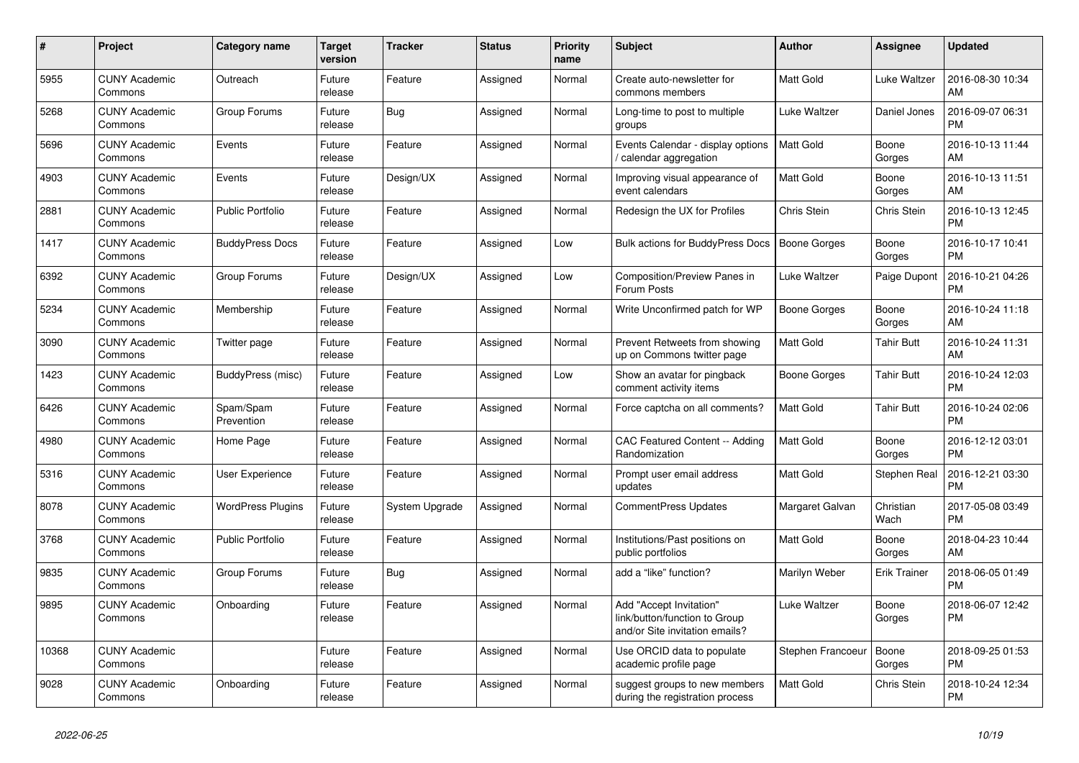| $\pmb{\#}$ | Project                         | Category name            | <b>Target</b><br>version | <b>Tracker</b> | <b>Status</b> | <b>Priority</b><br>name | <b>Subject</b>                                                                             | <b>Author</b>       | <b>Assignee</b>     | <b>Updated</b>                |
|------------|---------------------------------|--------------------------|--------------------------|----------------|---------------|-------------------------|--------------------------------------------------------------------------------------------|---------------------|---------------------|-------------------------------|
| 5955       | <b>CUNY Academic</b><br>Commons | Outreach                 | Future<br>release        | Feature        | Assigned      | Normal                  | Create auto-newsletter for<br>commons members                                              | <b>Matt Gold</b>    | Luke Waltzer        | 2016-08-30 10:34<br>AM        |
| 5268       | <b>CUNY Academic</b><br>Commons | Group Forums             | Future<br>release        | <b>Bug</b>     | Assigned      | Normal                  | Long-time to post to multiple<br>groups                                                    | Luke Waltzer        | Daniel Jones        | 2016-09-07 06:31<br><b>PM</b> |
| 5696       | <b>CUNY Academic</b><br>Commons | Events                   | Future<br>release        | Feature        | Assigned      | Normal                  | Events Calendar - display options<br>/ calendar aggregation                                | <b>Matt Gold</b>    | Boone<br>Gorges     | 2016-10-13 11:44<br>AM        |
| 4903       | <b>CUNY Academic</b><br>Commons | Events                   | Future<br>release        | Design/UX      | Assigned      | Normal                  | Improving visual appearance of<br>event calendars                                          | <b>Matt Gold</b>    | Boone<br>Gorges     | 2016-10-13 11:51<br>AM        |
| 2881       | <b>CUNY Academic</b><br>Commons | <b>Public Portfolio</b>  | Future<br>release        | Feature        | Assigned      | Normal                  | Redesign the UX for Profiles                                                               | Chris Stein         | Chris Stein         | 2016-10-13 12:45<br><b>PM</b> |
| 1417       | <b>CUNY Academic</b><br>Commons | <b>BuddyPress Docs</b>   | Future<br>release        | Feature        | Assigned      | Low                     | Bulk actions for BuddyPress Docs                                                           | <b>Boone Gorges</b> | Boone<br>Gorges     | 2016-10-17 10:41<br><b>PM</b> |
| 6392       | <b>CUNY Academic</b><br>Commons | Group Forums             | Future<br>release        | Design/UX      | Assigned      | Low                     | Composition/Preview Panes in<br>Forum Posts                                                | Luke Waltzer        | Paige Dupont        | 2016-10-21 04:26<br><b>PM</b> |
| 5234       | <b>CUNY Academic</b><br>Commons | Membership               | Future<br>release        | Feature        | Assigned      | Normal                  | Write Unconfirmed patch for WP                                                             | Boone Gorges        | Boone<br>Gorges     | 2016-10-24 11:18<br>AM        |
| 3090       | <b>CUNY Academic</b><br>Commons | Twitter page             | Future<br>release        | Feature        | Assigned      | Normal                  | Prevent Retweets from showing<br>up on Commons twitter page                                | Matt Gold           | <b>Tahir Butt</b>   | 2016-10-24 11:31<br>AM        |
| 1423       | <b>CUNY Academic</b><br>Commons | BuddyPress (misc)        | Future<br>release        | Feature        | Assigned      | Low                     | Show an avatar for pingback<br>comment activity items                                      | Boone Gorges        | <b>Tahir Butt</b>   | 2016-10-24 12:03<br><b>PM</b> |
| 6426       | <b>CUNY Academic</b><br>Commons | Spam/Spam<br>Prevention  | Future<br>release        | Feature        | Assigned      | Normal                  | Force captcha on all comments?                                                             | <b>Matt Gold</b>    | <b>Tahir Butt</b>   | 2016-10-24 02:06<br><b>PM</b> |
| 4980       | <b>CUNY Academic</b><br>Commons | Home Page                | Future<br>release        | Feature        | Assigned      | Normal                  | CAC Featured Content -- Adding<br>Randomization                                            | Matt Gold           | Boone<br>Gorges     | 2016-12-12 03:01<br><b>PM</b> |
| 5316       | <b>CUNY Academic</b><br>Commons | User Experience          | Future<br>release        | Feature        | Assigned      | Normal                  | Prompt user email address<br>updates                                                       | <b>Matt Gold</b>    | Stephen Real        | 2016-12-21 03:30<br><b>PM</b> |
| 8078       | <b>CUNY Academic</b><br>Commons | <b>WordPress Plugins</b> | Future<br>release        | System Upgrade | Assigned      | Normal                  | CommentPress Updates                                                                       | Margaret Galvan     | Christian<br>Wach   | 2017-05-08 03:49<br><b>PM</b> |
| 3768       | <b>CUNY Academic</b><br>Commons | <b>Public Portfolio</b>  | Future<br>release        | Feature        | Assigned      | Normal                  | Institutions/Past positions on<br>public portfolios                                        | <b>Matt Gold</b>    | Boone<br>Gorges     | 2018-04-23 10:44<br>AM        |
| 9835       | <b>CUNY Academic</b><br>Commons | Group Forums             | Future<br>release        | <b>Bug</b>     | Assigned      | Normal                  | add a "like" function?                                                                     | Marilyn Weber       | <b>Erik Trainer</b> | 2018-06-05 01:49<br><b>PM</b> |
| 9895       | <b>CUNY Academic</b><br>Commons | Onboarding               | Future<br>release        | Feature        | Assigned      | Normal                  | Add "Accept Invitation"<br>link/button/function to Group<br>and/or Site invitation emails? | Luke Waltzer        | Boone<br>Gorges     | 2018-06-07 12:42<br><b>PM</b> |
| 10368      | <b>CUNY Academic</b><br>Commons |                          | Future<br>release        | Feature        | Assigned      | Normal                  | Use ORCID data to populate<br>academic profile page                                        | Stephen Francoeur   | Boone<br>Gorges     | 2018-09-25 01:53<br><b>PM</b> |
| 9028       | <b>CUNY Academic</b><br>Commons | Onboarding               | Future<br>release        | Feature        | Assigned      | Normal                  | suggest groups to new members<br>during the registration process                           | Matt Gold           | Chris Stein         | 2018-10-24 12:34<br><b>PM</b> |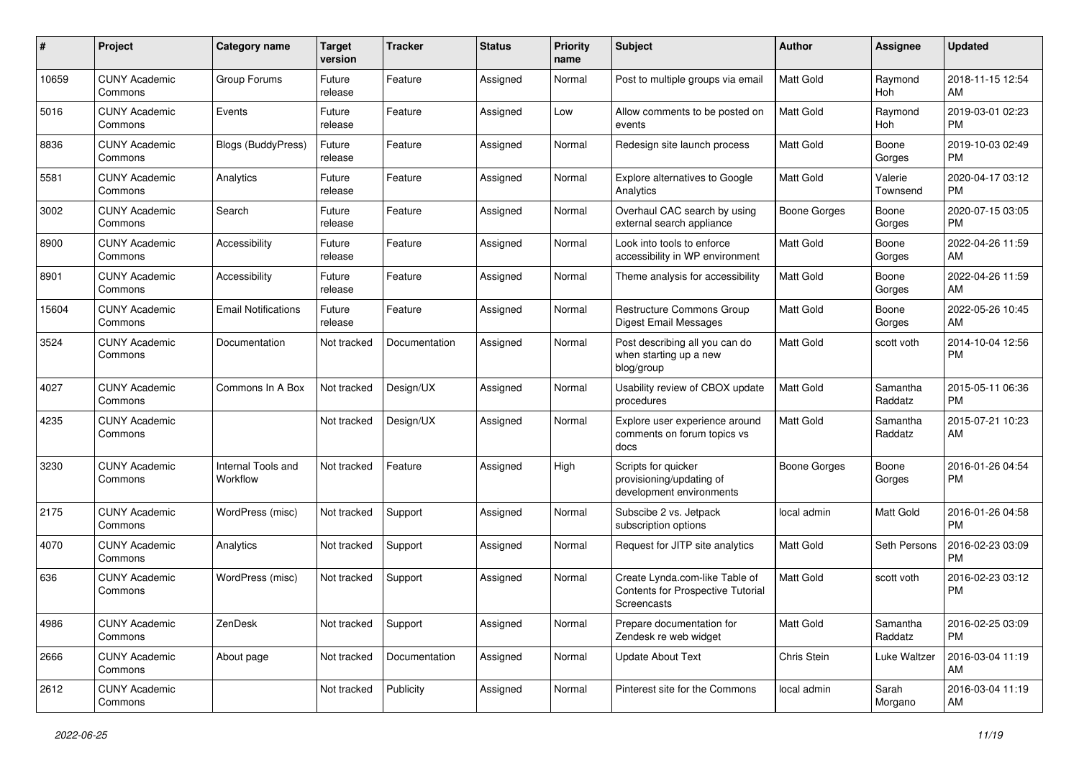| #     | Project                         | <b>Category name</b>           | <b>Target</b><br>version | <b>Tracker</b> | <b>Status</b> | <b>Priority</b><br>name | <b>Subject</b>                                                                     | Author              | <b>Assignee</b>       | <b>Updated</b>                |
|-------|---------------------------------|--------------------------------|--------------------------|----------------|---------------|-------------------------|------------------------------------------------------------------------------------|---------------------|-----------------------|-------------------------------|
| 10659 | <b>CUNY Academic</b><br>Commons | Group Forums                   | Future<br>release        | Feature        | Assigned      | Normal                  | Post to multiple groups via email                                                  | <b>Matt Gold</b>    | Raymond<br><b>Hoh</b> | 2018-11-15 12:54<br>AM        |
| 5016  | <b>CUNY Academic</b><br>Commons | Events                         | Future<br>release        | Feature        | Assigned      | Low                     | Allow comments to be posted on<br>events                                           | <b>Matt Gold</b>    | Raymond<br>Hoh        | 2019-03-01 02:23<br><b>PM</b> |
| 8836  | <b>CUNY Academic</b><br>Commons | Blogs (BuddyPress)             | Future<br>release        | Feature        | Assigned      | Normal                  | Redesign site launch process                                                       | Matt Gold           | Boone<br>Gorges       | 2019-10-03 02:49<br><b>PM</b> |
| 5581  | <b>CUNY Academic</b><br>Commons | Analytics                      | Future<br>release        | Feature        | Assigned      | Normal                  | Explore alternatives to Google<br>Analytics                                        | Matt Gold           | Valerie<br>Townsend   | 2020-04-17 03:12<br><b>PM</b> |
| 3002  | <b>CUNY Academic</b><br>Commons | Search                         | Future<br>release        | Feature        | Assigned      | Normal                  | Overhaul CAC search by using<br>external search appliance                          | Boone Gorges        | Boone<br>Gorges       | 2020-07-15 03:05<br><b>PM</b> |
| 8900  | <b>CUNY Academic</b><br>Commons | Accessibility                  | Future<br>release        | Feature        | Assigned      | Normal                  | Look into tools to enforce<br>accessibility in WP environment                      | Matt Gold           | Boone<br>Gorges       | 2022-04-26 11:59<br>AM        |
| 8901  | <b>CUNY Academic</b><br>Commons | Accessibility                  | Future<br>release        | Feature        | Assigned      | Normal                  | Theme analysis for accessibility                                                   | Matt Gold           | Boone<br>Gorges       | 2022-04-26 11:59<br>AM        |
| 15604 | <b>CUNY Academic</b><br>Commons | <b>Email Notifications</b>     | Future<br>release        | Feature        | Assigned      | Normal                  | Restructure Commons Group<br><b>Digest Email Messages</b>                          | <b>Matt Gold</b>    | Boone<br>Gorges       | 2022-05-26 10:45<br>AM        |
| 3524  | <b>CUNY Academic</b><br>Commons | Documentation                  | Not tracked              | Documentation  | Assigned      | Normal                  | Post describing all you can do<br>when starting up a new<br>blog/group             | <b>Matt Gold</b>    | scott voth            | 2014-10-04 12:56<br><b>PM</b> |
| 4027  | <b>CUNY Academic</b><br>Commons | Commons In A Box               | Not tracked              | Design/UX      | Assigned      | Normal                  | Usability review of CBOX update<br>procedures                                      | <b>Matt Gold</b>    | Samantha<br>Raddatz   | 2015-05-11 06:36<br><b>PM</b> |
| 4235  | <b>CUNY Academic</b><br>Commons |                                | Not tracked              | Design/UX      | Assigned      | Normal                  | Explore user experience around<br>comments on forum topics vs<br>docs              | <b>Matt Gold</b>    | Samantha<br>Raddatz   | 2015-07-21 10:23<br>AM        |
| 3230  | <b>CUNY Academic</b><br>Commons | Internal Tools and<br>Workflow | Not tracked              | Feature        | Assigned      | High                    | Scripts for quicker<br>provisioning/updating of<br>development environments        | <b>Boone Gorges</b> | Boone<br>Gorges       | 2016-01-26 04:54<br><b>PM</b> |
| 2175  | <b>CUNY Academic</b><br>Commons | WordPress (misc)               | Not tracked              | Support        | Assigned      | Normal                  | Subscibe 2 vs. Jetpack<br>subscription options                                     | local admin         | <b>Matt Gold</b>      | 2016-01-26 04:58<br><b>PM</b> |
| 4070  | <b>CUNY Academic</b><br>Commons | Analytics                      | Not tracked              | Support        | Assigned      | Normal                  | Request for JITP site analytics                                                    | Matt Gold           | Seth Persons          | 2016-02-23 03:09<br><b>PM</b> |
| 636   | <b>CUNY Academic</b><br>Commons | WordPress (misc)               | Not tracked              | Support        | Assigned      | Normal                  | Create Lynda.com-like Table of<br>Contents for Prospective Tutorial<br>Screencasts | <b>Matt Gold</b>    | scott voth            | 2016-02-23 03:12<br><b>PM</b> |
| 4986  | <b>CUNY Academic</b><br>Commons | ZenDesk                        | Not tracked              | Support        | Assigned      | Normal                  | Prepare documentation for<br>Zendesk re web widget                                 | Matt Gold           | Samantha<br>Raddatz   | 2016-02-25 03:09<br><b>PM</b> |
| 2666  | <b>CUNY Academic</b><br>Commons | About page                     | Not tracked              | Documentation  | Assigned      | Normal                  | <b>Update About Text</b>                                                           | Chris Stein         | Luke Waltzer          | 2016-03-04 11:19<br>AM        |
| 2612  | <b>CUNY Academic</b><br>Commons |                                | Not tracked              | Publicity      | Assigned      | Normal                  | Pinterest site for the Commons                                                     | local admin         | Sarah<br>Morgano      | 2016-03-04 11:19<br>AM        |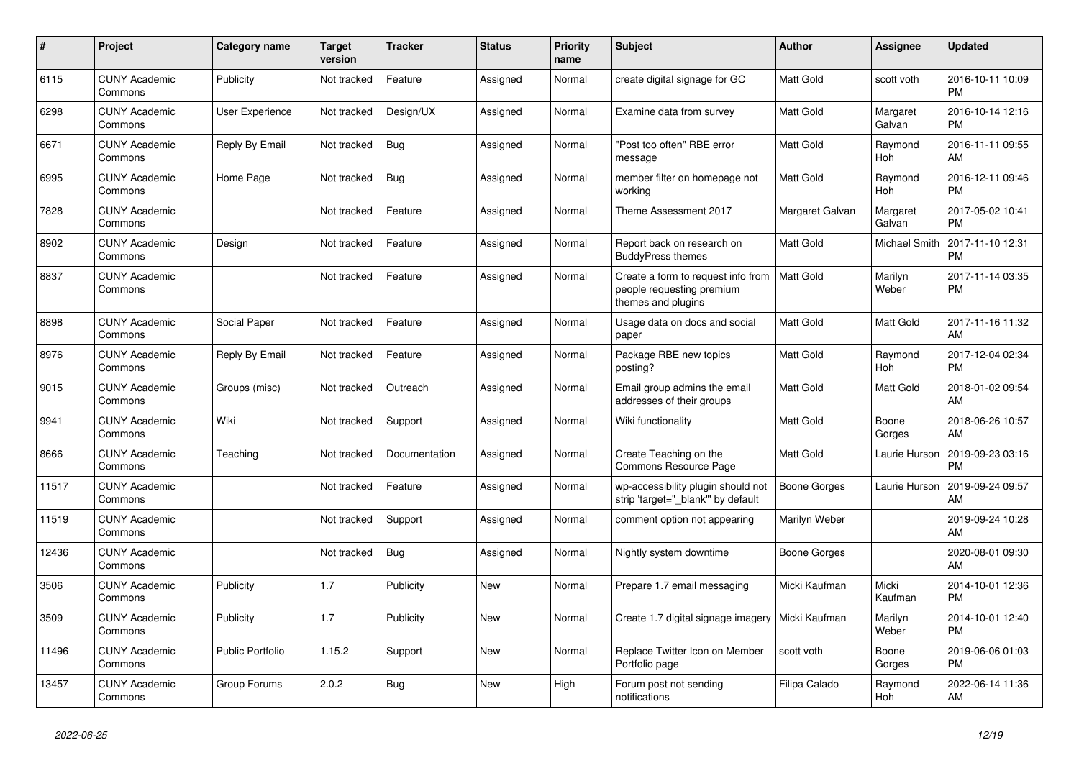| #     | <b>Project</b>                  | <b>Category name</b>    | <b>Target</b><br>version | Tracker       | <b>Status</b> | <b>Priority</b><br>name | <b>Subject</b>                                                                        | <b>Author</b>       | Assignee              | <b>Updated</b>                |
|-------|---------------------------------|-------------------------|--------------------------|---------------|---------------|-------------------------|---------------------------------------------------------------------------------------|---------------------|-----------------------|-------------------------------|
| 6115  | <b>CUNY Academic</b><br>Commons | Publicity               | Not tracked              | Feature       | Assigned      | Normal                  | create digital signage for GC                                                         | Matt Gold           | scott voth            | 2016-10-11 10:09<br><b>PM</b> |
| 6298  | <b>CUNY Academic</b><br>Commons | <b>User Experience</b>  | Not tracked              | Design/UX     | Assigned      | Normal                  | Examine data from survey                                                              | Matt Gold           | Margaret<br>Galvan    | 2016-10-14 12:16<br><b>PM</b> |
| 6671  | <b>CUNY Academic</b><br>Commons | Reply By Email          | Not tracked              | Bug           | Assigned      | Normal                  | 'Post too often" RBE error<br>message                                                 | Matt Gold           | Raymond<br>Hoh        | 2016-11-11 09:55<br>AM        |
| 6995  | <b>CUNY Academic</b><br>Commons | Home Page               | Not tracked              | <b>Bug</b>    | Assigned      | Normal                  | member filter on homepage not<br>working                                              | Matt Gold           | Raymond<br><b>Hoh</b> | 2016-12-11 09:46<br><b>PM</b> |
| 7828  | <b>CUNY Academic</b><br>Commons |                         | Not tracked              | Feature       | Assigned      | Normal                  | Theme Assessment 2017                                                                 | Margaret Galvan     | Margaret<br>Galvan    | 2017-05-02 10:41<br>PM        |
| 8902  | <b>CUNY Academic</b><br>Commons | Design                  | Not tracked              | Feature       | Assigned      | Normal                  | Report back on research on<br><b>BuddyPress themes</b>                                | Matt Gold           | Michael Smith         | 2017-11-10 12:31<br>PM        |
| 8837  | <b>CUNY Academic</b><br>Commons |                         | Not tracked              | Feature       | Assigned      | Normal                  | Create a form to request info from<br>people requesting premium<br>themes and plugins | <b>Matt Gold</b>    | Marilyn<br>Weber      | 2017-11-14 03:35<br><b>PM</b> |
| 8898  | <b>CUNY Academic</b><br>Commons | Social Paper            | Not tracked              | Feature       | Assigned      | Normal                  | Usage data on docs and social<br>paper                                                | Matt Gold           | Matt Gold             | 2017-11-16 11:32<br>AM        |
| 8976  | <b>CUNY Academic</b><br>Commons | Reply By Email          | Not tracked              | Feature       | Assigned      | Normal                  | Package RBE new topics<br>posting?                                                    | Matt Gold           | Raymond<br><b>Hoh</b> | 2017-12-04 02:34<br><b>PM</b> |
| 9015  | <b>CUNY Academic</b><br>Commons | Groups (misc)           | Not tracked              | Outreach      | Assigned      | Normal                  | Email group admins the email<br>addresses of their groups                             | Matt Gold           | Matt Gold             | 2018-01-02 09:54<br>AM        |
| 9941  | <b>CUNY Academic</b><br>Commons | Wiki                    | Not tracked              | Support       | Assigned      | Normal                  | Wiki functionality                                                                    | Matt Gold           | Boone<br>Gorges       | 2018-06-26 10:57<br>AM        |
| 8666  | <b>CUNY Academic</b><br>Commons | Teaching                | Not tracked              | Documentation | Assigned      | Normal                  | Create Teaching on the<br>Commons Resource Page                                       | Matt Gold           | Laurie Hurson         | 2019-09-23 03:16<br>PM        |
| 11517 | <b>CUNY Academic</b><br>Commons |                         | Not tracked              | Feature       | Assigned      | Normal                  | wp-accessibility plugin should not<br>strip 'target=" blank" by default               | Boone Gorges        | Laurie Hurson         | 2019-09-24 09:57<br>AM        |
| 11519 | <b>CUNY Academic</b><br>Commons |                         | Not tracked              | Support       | Assigned      | Normal                  | comment option not appearing                                                          | Marilyn Weber       |                       | 2019-09-24 10:28<br>AM        |
| 12436 | <b>CUNY Academic</b><br>Commons |                         | Not tracked              | <b>Bug</b>    | Assigned      | Normal                  | Nightly system downtime                                                               | <b>Boone Gorges</b> |                       | 2020-08-01 09:30<br>AM        |
| 3506  | <b>CUNY Academic</b><br>Commons | Publicity               | 1.7                      | Publicity     | <b>New</b>    | Normal                  | Prepare 1.7 email messaging                                                           | Micki Kaufman       | Micki<br>Kaufman      | 2014-10-01 12:36<br><b>PM</b> |
| 3509  | <b>CUNY Academic</b><br>Commons | Publicity               | 1.7                      | Publicity     | <b>New</b>    | Normal                  | Create 1.7 digital signage imagery                                                    | Micki Kaufman       | Marilyn<br>Weber      | 2014-10-01 12:40<br><b>PM</b> |
| 11496 | <b>CUNY Academic</b><br>Commons | <b>Public Portfolio</b> | 1.15.2                   | Support       | <b>New</b>    | Normal                  | Replace Twitter Icon on Member<br>Portfolio page                                      | scott voth          | Boone<br>Gorges       | 2019-06-06 01:03<br>PM        |
| 13457 | <b>CUNY Academic</b><br>Commons | Group Forums            | 2.0.2                    | Bug           | <b>New</b>    | High                    | Forum post not sending<br>notifications                                               | Filipa Calado       | Raymond<br>Hoh        | 2022-06-14 11:36<br>AM        |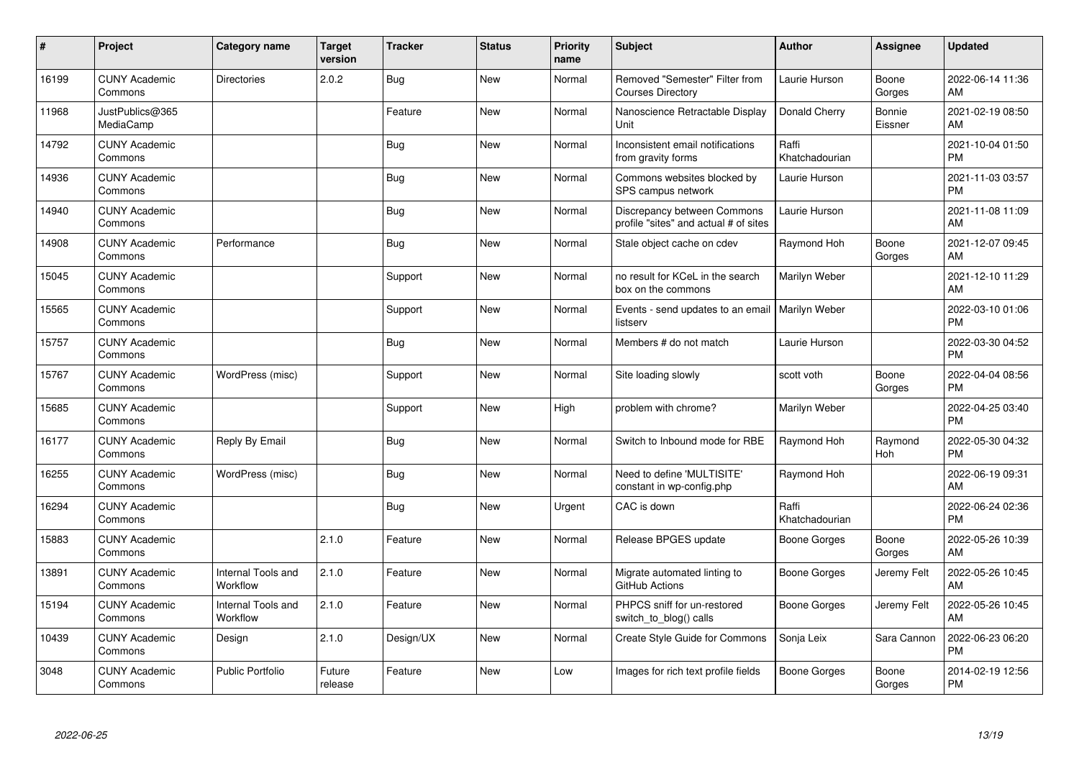| #     | Project                         | <b>Category name</b>           | Target<br>version | <b>Tracker</b> | <b>Status</b> | <b>Priority</b><br>name | <b>Subject</b>                                                       | Author                  | <b>Assignee</b>   | <b>Updated</b>                |
|-------|---------------------------------|--------------------------------|-------------------|----------------|---------------|-------------------------|----------------------------------------------------------------------|-------------------------|-------------------|-------------------------------|
| 16199 | <b>CUNY Academic</b><br>Commons | Directories                    | 2.0.2             | <b>Bug</b>     | <b>New</b>    | Normal                  | Removed "Semester" Filter from<br><b>Courses Directory</b>           | Laurie Hurson           | Boone<br>Gorges   | 2022-06-14 11:36<br>AM        |
| 11968 | JustPublics@365<br>MediaCamp    |                                |                   | Feature        | <b>New</b>    | Normal                  | Nanoscience Retractable Display<br>Unit                              | Donald Cherry           | Bonnie<br>Eissner | 2021-02-19 08:50<br>AM        |
| 14792 | <b>CUNY Academic</b><br>Commons |                                |                   | <b>Bug</b>     | <b>New</b>    | Normal                  | Inconsistent email notifications<br>from gravity forms               | Raffi<br>Khatchadourian |                   | 2021-10-04 01:50<br><b>PM</b> |
| 14936 | <b>CUNY Academic</b><br>Commons |                                |                   | <b>Bug</b>     | New           | Normal                  | Commons websites blocked by<br>SPS campus network                    | Laurie Hurson           |                   | 2021-11-03 03:57<br><b>PM</b> |
| 14940 | <b>CUNY Academic</b><br>Commons |                                |                   | <b>Bug</b>     | <b>New</b>    | Normal                  | Discrepancy between Commons<br>profile "sites" and actual # of sites | Laurie Hurson           |                   | 2021-11-08 11:09<br>AM        |
| 14908 | <b>CUNY Academic</b><br>Commons | Performance                    |                   | Bug            | <b>New</b>    | Normal                  | Stale object cache on cdev                                           | Raymond Hoh             | Boone<br>Gorges   | 2021-12-07 09:45<br>AM        |
| 15045 | <b>CUNY Academic</b><br>Commons |                                |                   | Support        | <b>New</b>    | Normal                  | no result for KCeL in the search<br>box on the commons               | Marilyn Weber           |                   | 2021-12-10 11:29<br>AM        |
| 15565 | <b>CUNY Academic</b><br>Commons |                                |                   | Support        | New           | Normal                  | Events - send updates to an email<br>listserv                        | <b>Marilyn Weber</b>    |                   | 2022-03-10 01:06<br><b>PM</b> |
| 15757 | <b>CUNY Academic</b><br>Commons |                                |                   | Bug            | <b>New</b>    | Normal                  | Members # do not match                                               | Laurie Hurson           |                   | 2022-03-30 04:52<br><b>PM</b> |
| 15767 | <b>CUNY Academic</b><br>Commons | WordPress (misc)               |                   | Support        | <b>New</b>    | Normal                  | Site loading slowly                                                  | scott voth              | Boone<br>Gorges   | 2022-04-04 08:56<br><b>PM</b> |
| 15685 | <b>CUNY Academic</b><br>Commons |                                |                   | Support        | <b>New</b>    | High                    | problem with chrome?                                                 | Marilyn Weber           |                   | 2022-04-25 03:40<br><b>PM</b> |
| 16177 | <b>CUNY Academic</b><br>Commons | Reply By Email                 |                   | <b>Bug</b>     | <b>New</b>    | Normal                  | Switch to Inbound mode for RBE                                       | Raymond Hoh             | Raymond<br>Hoh    | 2022-05-30 04:32<br><b>PM</b> |
| 16255 | <b>CUNY Academic</b><br>Commons | WordPress (misc)               |                   | Bug            | <b>New</b>    | Normal                  | Need to define 'MULTISITE'<br>constant in wp-config.php              | Raymond Hoh             |                   | 2022-06-19 09:31<br>AM        |
| 16294 | <b>CUNY Academic</b><br>Commons |                                |                   | <b>Bug</b>     | <b>New</b>    | Urgent                  | CAC is down                                                          | Raffi<br>Khatchadourian |                   | 2022-06-24 02:36<br><b>PM</b> |
| 15883 | <b>CUNY Academic</b><br>Commons |                                | 2.1.0             | Feature        | <b>New</b>    | Normal                  | Release BPGES update                                                 | Boone Gorges            | Boone<br>Gorges   | 2022-05-26 10:39<br>AM        |
| 13891 | <b>CUNY Academic</b><br>Commons | Internal Tools and<br>Workflow | 2.1.0             | Feature        | <b>New</b>    | Normal                  | Migrate automated linting to<br>GitHub Actions                       | Boone Gorges            | Jeremy Felt       | 2022-05-26 10:45<br>AM        |
| 15194 | <b>CUNY Academic</b><br>Commons | Internal Tools and<br>Workflow | 2.1.0             | Feature        | <b>New</b>    | Normal                  | PHPCS sniff for un-restored<br>switch_to_blog() calls                | Boone Gorges            | Jeremy Felt       | 2022-05-26 10:45<br>AM        |
| 10439 | <b>CUNY Academic</b><br>Commons | Design                         | 2.1.0             | Design/UX      | New           | Normal                  | <b>Create Style Guide for Commons</b>                                | Sonja Leix              | Sara Cannon       | 2022-06-23 06:20<br><b>PM</b> |
| 3048  | <b>CUNY Academic</b><br>Commons | <b>Public Portfolio</b>        | Future<br>release | Feature        | <b>New</b>    | Low                     | Images for rich text profile fields                                  | <b>Boone Gorges</b>     | Boone<br>Gorges   | 2014-02-19 12:56<br><b>PM</b> |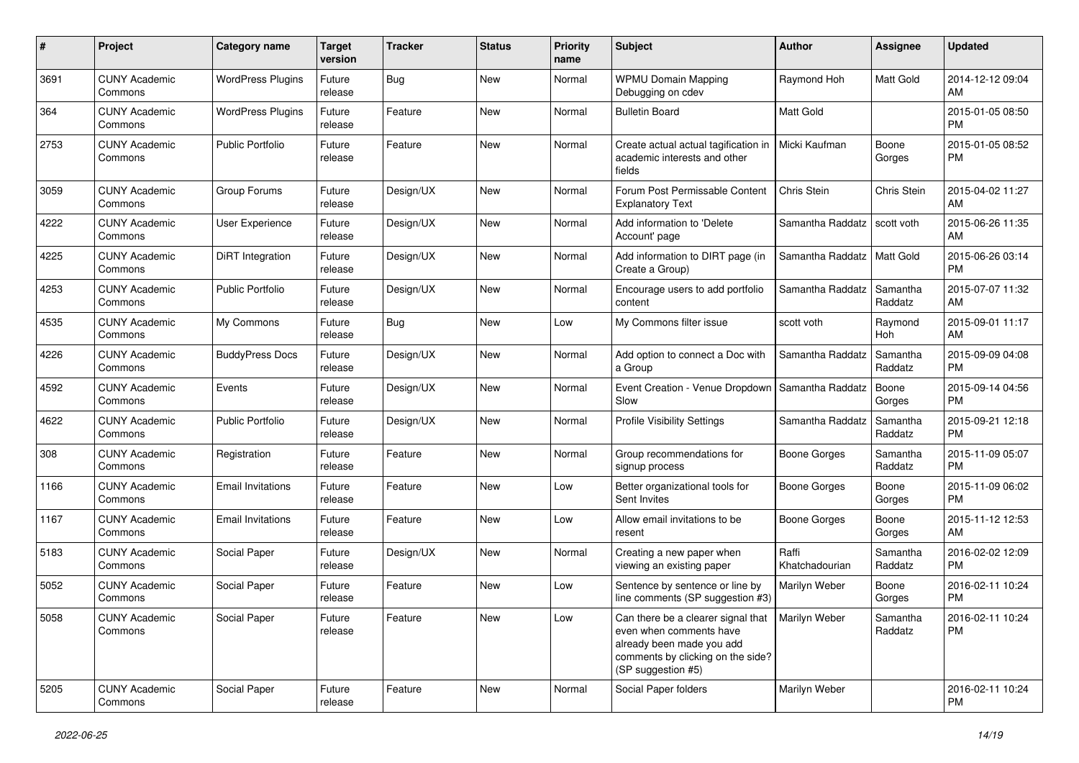| #    | Project                         | <b>Category name</b>     | <b>Target</b><br>version | <b>Tracker</b> | <b>Status</b> | <b>Priority</b><br>name | Subject                                                                                                                                                               | Author                  | <b>Assignee</b>     | <b>Updated</b>                |
|------|---------------------------------|--------------------------|--------------------------|----------------|---------------|-------------------------|-----------------------------------------------------------------------------------------------------------------------------------------------------------------------|-------------------------|---------------------|-------------------------------|
| 3691 | <b>CUNY Academic</b><br>Commons | <b>WordPress Plugins</b> | Future<br>release        | Bug            | New           | Normal                  | <b>WPMU Domain Mapping</b><br>Debugging on cdev                                                                                                                       | Raymond Hoh             | Matt Gold           | 2014-12-12 09:04<br>AM        |
| 364  | <b>CUNY Academic</b><br>Commons | <b>WordPress Plugins</b> | Future<br>release        | Feature        | New           | Normal                  | <b>Bulletin Board</b>                                                                                                                                                 | <b>Matt Gold</b>        |                     | 2015-01-05 08:50<br><b>PM</b> |
| 2753 | <b>CUNY Academic</b><br>Commons | <b>Public Portfolio</b>  | Future<br>release        | Feature        | New           | Normal                  | Create actual actual tagification in<br>academic interests and other<br>fields                                                                                        | Micki Kaufman           | Boone<br>Gorges     | 2015-01-05 08:52<br><b>PM</b> |
| 3059 | <b>CUNY Academic</b><br>Commons | Group Forums             | Future<br>release        | Design/UX      | New           | Normal                  | Forum Post Permissable Content<br><b>Explanatory Text</b>                                                                                                             | Chris Stein             | Chris Stein         | 2015-04-02 11:27<br>AM        |
| 4222 | <b>CUNY Academic</b><br>Commons | User Experience          | Future<br>release        | Design/UX      | New           | Normal                  | Add information to 'Delete<br>Account' page                                                                                                                           | Samantha Raddatz        | scott voth          | 2015-06-26 11:35<br>AM        |
| 4225 | <b>CUNY Academic</b><br>Commons | <b>DiRT</b> Integration  | Future<br>release        | Design/UX      | New           | Normal                  | Add information to DIRT page (in<br>Create a Group)                                                                                                                   | Samantha Raddatz        | <b>Matt Gold</b>    | 2015-06-26 03:14<br><b>PM</b> |
| 4253 | <b>CUNY Academic</b><br>Commons | <b>Public Portfolio</b>  | Future<br>release        | Design/UX      | New           | Normal                  | Encourage users to add portfolio<br>content                                                                                                                           | Samantha Raddatz        | Samantha<br>Raddatz | 2015-07-07 11:32<br>AM        |
| 4535 | <b>CUNY Academic</b><br>Commons | My Commons               | Future<br>release        | <b>Bug</b>     | New           | Low                     | My Commons filter issue                                                                                                                                               | scott voth              | Raymond<br>Hoh      | 2015-09-01 11:17<br>AM        |
| 4226 | <b>CUNY Academic</b><br>Commons | <b>BuddyPress Docs</b>   | Future<br>release        | Design/UX      | New           | Normal                  | Add option to connect a Doc with<br>a Group                                                                                                                           | Samantha Raddatz        | Samantha<br>Raddatz | 2015-09-09 04:08<br><b>PM</b> |
| 4592 | <b>CUNY Academic</b><br>Commons | Events                   | Future<br>release        | Design/UX      | New           | Normal                  | Event Creation - Venue Dropdown   Samantha Raddatz<br>Slow                                                                                                            |                         | Boone<br>Gorges     | 2015-09-14 04:56<br><b>PM</b> |
| 4622 | <b>CUNY Academic</b><br>Commons | <b>Public Portfolio</b>  | Future<br>release        | Design/UX      | New           | Normal                  | Profile Visibility Settings                                                                                                                                           | Samantha Raddatz        | Samantha<br>Raddatz | 2015-09-21 12:18<br><b>PM</b> |
| 308  | <b>CUNY Academic</b><br>Commons | Registration             | Future<br>release        | Feature        | New           | Normal                  | Group recommendations for<br>signup process                                                                                                                           | Boone Gorges            | Samantha<br>Raddatz | 2015-11-09 05:07<br><b>PM</b> |
| 1166 | <b>CUNY Academic</b><br>Commons | <b>Email Invitations</b> | Future<br>release        | Feature        | <b>New</b>    | Low                     | Better organizational tools for<br>Sent Invites                                                                                                                       | Boone Gorges            | Boone<br>Gorges     | 2015-11-09 06:02<br><b>PM</b> |
| 1167 | <b>CUNY Academic</b><br>Commons | <b>Email Invitations</b> | Future<br>release        | Feature        | New           | Low                     | Allow email invitations to be<br>resent                                                                                                                               | <b>Boone Gorges</b>     | Boone<br>Gorges     | 2015-11-12 12:53<br>AM        |
| 5183 | <b>CUNY Academic</b><br>Commons | Social Paper             | Future<br>release        | Design/UX      | New           | Normal                  | Creating a new paper when<br>viewing an existing paper                                                                                                                | Raffi<br>Khatchadourian | Samantha<br>Raddatz | 2016-02-02 12:09<br><b>PM</b> |
| 5052 | <b>CUNY Academic</b><br>Commons | Social Paper             | Future<br>release        | Feature        | New           | Low                     | Sentence by sentence or line by<br>line comments (SP suggestion #3)                                                                                                   | Marilyn Weber           | Boone<br>Gorges     | 2016-02-11 10:24<br><b>PM</b> |
| 5058 | <b>CUNY Academic</b><br>Commons | Social Paper             | Future<br>release        | Feature        | New           | Low                     | Can there be a clearer signal that   Marilyn Weber<br>even when comments have<br>already been made you add<br>comments by clicking on the side?<br>(SP suggestion #5) |                         | Samantha<br>Raddatz | 2016-02-11 10:24<br>PM        |
| 5205 | <b>CUNY Academic</b><br>Commons | Social Paper             | Future<br>release        | Feature        | New           | Normal                  | Social Paper folders                                                                                                                                                  | Marilyn Weber           |                     | 2016-02-11 10:24<br><b>PM</b> |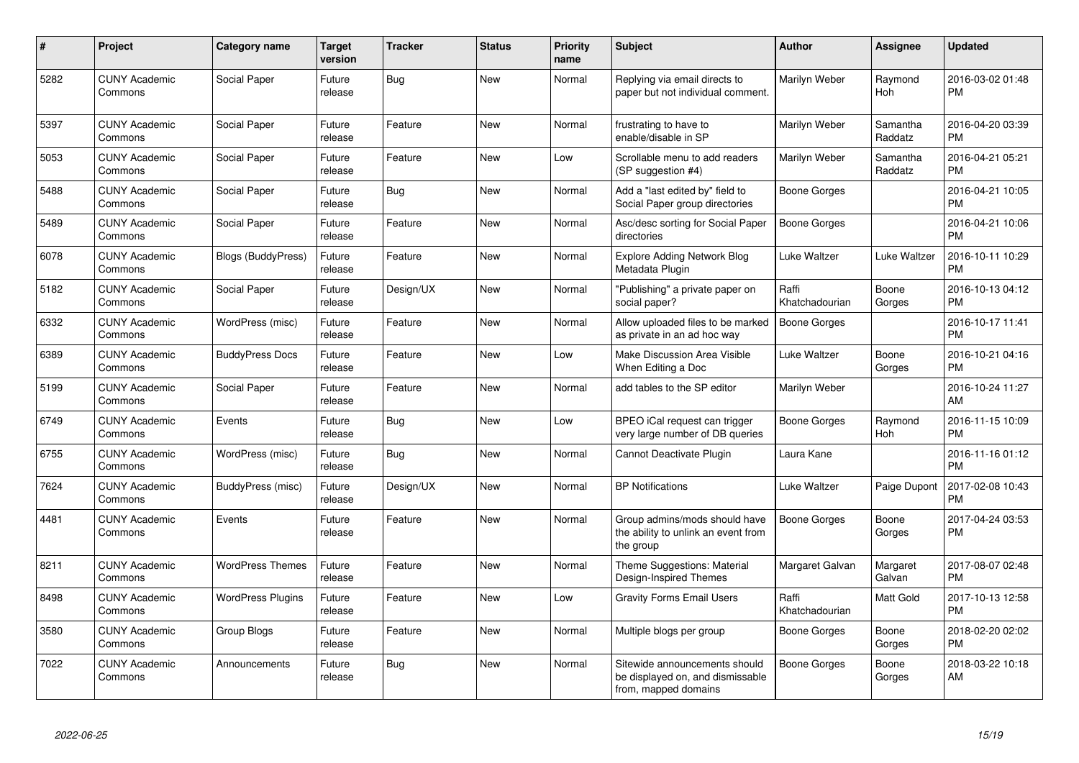| #    | <b>Project</b>                  | <b>Category name</b>      | <b>Target</b><br>version | <b>Tracker</b> | <b>Status</b> | <b>Priority</b><br>name | <b>Subject</b>                                                                            | <b>Author</b>           | <b>Assignee</b>     | <b>Updated</b>                |
|------|---------------------------------|---------------------------|--------------------------|----------------|---------------|-------------------------|-------------------------------------------------------------------------------------------|-------------------------|---------------------|-------------------------------|
| 5282 | <b>CUNY Academic</b><br>Commons | Social Paper              | Future<br>release        | Bug            | <b>New</b>    | Normal                  | Replying via email directs to<br>paper but not individual comment.                        | Marilyn Weber           | Raymond<br>Hoh      | 2016-03-02 01:48<br><b>PM</b> |
| 5397 | <b>CUNY Academic</b><br>Commons | Social Paper              | Future<br>release        | Feature        | <b>New</b>    | Normal                  | frustrating to have to<br>enable/disable in SP                                            | Marilyn Weber           | Samantha<br>Raddatz | 2016-04-20 03:39<br><b>PM</b> |
| 5053 | <b>CUNY Academic</b><br>Commons | Social Paper              | Future<br>release        | Feature        | New           | Low                     | Scrollable menu to add readers<br>(SP suggestion #4)                                      | Marilyn Weber           | Samantha<br>Raddatz | 2016-04-21 05:21<br><b>PM</b> |
| 5488 | <b>CUNY Academic</b><br>Commons | Social Paper              | Future<br>release        | Bug            | <b>New</b>    | Normal                  | Add a "last edited by" field to<br>Social Paper group directories                         | Boone Gorges            |                     | 2016-04-21 10:05<br><b>PM</b> |
| 5489 | <b>CUNY Academic</b><br>Commons | Social Paper              | Future<br>release        | Feature        | <b>New</b>    | Normal                  | Asc/desc sorting for Social Paper<br>directories                                          | <b>Boone Gorges</b>     |                     | 2016-04-21 10:06<br><b>PM</b> |
| 6078 | <b>CUNY Academic</b><br>Commons | <b>Blogs (BuddyPress)</b> | Future<br>release        | Feature        | <b>New</b>    | Normal                  | <b>Explore Adding Network Blog</b><br>Metadata Plugin                                     | Luke Waltzer            | Luke Waltzer        | 2016-10-11 10:29<br><b>PM</b> |
| 5182 | <b>CUNY Academic</b><br>Commons | Social Paper              | Future<br>release        | Design/UX      | <b>New</b>    | Normal                  | "Publishing" a private paper on<br>social paper?                                          | Raffi<br>Khatchadourian | Boone<br>Gorges     | 2016-10-13 04:12<br><b>PM</b> |
| 6332 | <b>CUNY Academic</b><br>Commons | WordPress (misc)          | Future<br>release        | Feature        | <b>New</b>    | Normal                  | Allow uploaded files to be marked<br>as private in an ad hoc way                          | Boone Gorges            |                     | 2016-10-17 11:41<br><b>PM</b> |
| 6389 | <b>CUNY Academic</b><br>Commons | <b>BuddyPress Docs</b>    | Future<br>release        | Feature        | <b>New</b>    | Low                     | Make Discussion Area Visible<br>When Editing a Doc                                        | Luke Waltzer            | Boone<br>Gorges     | 2016-10-21 04:16<br><b>PM</b> |
| 5199 | <b>CUNY Academic</b><br>Commons | Social Paper              | Future<br>release        | Feature        | <b>New</b>    | Normal                  | add tables to the SP editor                                                               | Marilyn Weber           |                     | 2016-10-24 11:27<br>AM        |
| 6749 | <b>CUNY Academic</b><br>Commons | Events                    | Future<br>release        | Bug            | <b>New</b>    | Low                     | BPEO iCal request can trigger<br>very large number of DB queries                          | Boone Gorges            | Raymond<br>Hoh      | 2016-11-15 10:09<br><b>PM</b> |
| 6755 | <b>CUNY Academic</b><br>Commons | WordPress (misc)          | Future<br>release        | <b>Bug</b>     | <b>New</b>    | Normal                  | Cannot Deactivate Plugin                                                                  | Laura Kane              |                     | 2016-11-16 01:12<br><b>PM</b> |
| 7624 | <b>CUNY Academic</b><br>Commons | BuddyPress (misc)         | Future<br>release        | Design/UX      | <b>New</b>    | Normal                  | <b>BP</b> Notifications                                                                   | Luke Waltzer            | Paige Dupont        | 2017-02-08 10:43<br><b>PM</b> |
| 4481 | <b>CUNY Academic</b><br>Commons | Events                    | Future<br>release        | Feature        | <b>New</b>    | Normal                  | Group admins/mods should have<br>the ability to unlink an event from<br>the group         | Boone Gorges            | Boone<br>Gorges     | 2017-04-24 03:53<br><b>PM</b> |
| 8211 | <b>CUNY Academic</b><br>Commons | <b>WordPress Themes</b>   | Future<br>release        | Feature        | New           | Normal                  | Theme Suggestions: Material<br>Design-Inspired Themes                                     | Margaret Galvan         | Margaret<br>Galvan  | 2017-08-07 02:48<br><b>PM</b> |
| 8498 | <b>CUNY Academic</b><br>Commons | <b>WordPress Plugins</b>  | Future<br>release        | Feature        | <b>New</b>    | Low                     | <b>Gravity Forms Email Users</b>                                                          | Raffi<br>Khatchadourian | Matt Gold           | 2017-10-13 12:58<br><b>PM</b> |
| 3580 | <b>CUNY Academic</b><br>Commons | Group Blogs               | Future<br>release        | Feature        | <b>New</b>    | Normal                  | Multiple blogs per group                                                                  | Boone Gorges            | Boone<br>Gorges     | 2018-02-20 02:02<br><b>PM</b> |
| 7022 | <b>CUNY Academic</b><br>Commons | Announcements             | Future<br>release        | Bug            | <b>New</b>    | Normal                  | Sitewide announcements should<br>be displayed on, and dismissable<br>from, mapped domains | <b>Boone Gorges</b>     | Boone<br>Gorges     | 2018-03-22 10:18<br>AM        |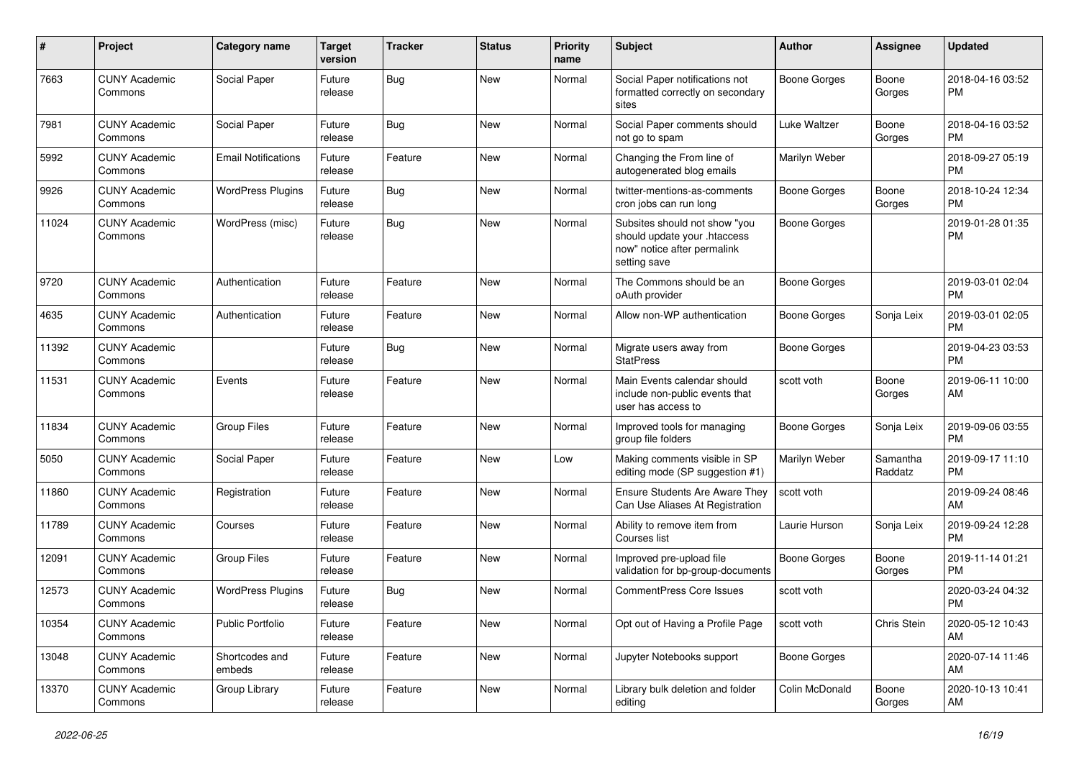| $\#$  | Project                         | <b>Category name</b>       | <b>Target</b><br>version | <b>Tracker</b> | <b>Status</b> | <b>Priority</b><br>name | Subject                                                                                                      | Author              | <b>Assignee</b>     | <b>Updated</b>                |
|-------|---------------------------------|----------------------------|--------------------------|----------------|---------------|-------------------------|--------------------------------------------------------------------------------------------------------------|---------------------|---------------------|-------------------------------|
| 7663  | <b>CUNY Academic</b><br>Commons | Social Paper               | Future<br>release        | <b>Bug</b>     | New           | Normal                  | Social Paper notifications not<br>formatted correctly on secondary<br>sites                                  | <b>Boone Gorges</b> | Boone<br>Gorges     | 2018-04-16 03:52<br>PM        |
| 7981  | <b>CUNY Academic</b><br>Commons | Social Paper               | Future<br>release        | <b>Bug</b>     | <b>New</b>    | Normal                  | Social Paper comments should<br>not go to spam                                                               | Luke Waltzer        | Boone<br>Gorges     | 2018-04-16 03:52<br>PM        |
| 5992  | <b>CUNY Academic</b><br>Commons | <b>Email Notifications</b> | Future<br>release        | Feature        | New           | Normal                  | Changing the From line of<br>autogenerated blog emails                                                       | Marilyn Weber       |                     | 2018-09-27 05:19<br><b>PM</b> |
| 9926  | <b>CUNY Academic</b><br>Commons | <b>WordPress Plugins</b>   | Future<br>release        | <b>Bug</b>     | New           | Normal                  | twitter-mentions-as-comments<br>cron jobs can run long                                                       | <b>Boone Gorges</b> | Boone<br>Gorges     | 2018-10-24 12:34<br>РM        |
| 11024 | <b>CUNY Academic</b><br>Commons | WordPress (misc)           | Future<br>release        | <b>Bug</b>     | New           | Normal                  | Subsites should not show "you<br>should update your .htaccess<br>now" notice after permalink<br>setting save | <b>Boone Gorges</b> |                     | 2019-01-28 01:35<br><b>PM</b> |
| 9720  | <b>CUNY Academic</b><br>Commons | Authentication             | Future<br>release        | Feature        | New           | Normal                  | The Commons should be an<br>oAuth provider                                                                   | <b>Boone Gorges</b> |                     | 2019-03-01 02:04<br>РM        |
| 4635  | <b>CUNY Academic</b><br>Commons | Authentication             | Future<br>release        | Feature        | <b>New</b>    | Normal                  | Allow non-WP authentication                                                                                  | <b>Boone Gorges</b> | Sonja Leix          | 2019-03-01 02:05<br><b>PM</b> |
| 11392 | <b>CUNY Academic</b><br>Commons |                            | Future<br>release        | <b>Bug</b>     | New           | Normal                  | Migrate users away from<br><b>StatPress</b>                                                                  | <b>Boone Gorges</b> |                     | 2019-04-23 03:53<br><b>PM</b> |
| 11531 | <b>CUNY Academic</b><br>Commons | Events                     | Future<br>release        | Feature        | New           | Normal                  | Main Events calendar should<br>include non-public events that<br>user has access to                          | scott voth          | Boone<br>Gorges     | 2019-06-11 10:00<br>AM        |
| 11834 | <b>CUNY Academic</b><br>Commons | <b>Group Files</b>         | Future<br>release        | Feature        | <b>New</b>    | Normal                  | Improved tools for managing<br>group file folders                                                            | <b>Boone Gorges</b> | Sonja Leix          | 2019-09-06 03:55<br><b>PM</b> |
| 5050  | <b>CUNY Academic</b><br>Commons | Social Paper               | Future<br>release        | Feature        | New           | Low                     | Making comments visible in SP<br>editing mode (SP suggestion #1)                                             | Marilyn Weber       | Samantha<br>Raddatz | 2019-09-17 11:10<br>PМ        |
| 11860 | <b>CUNY Academic</b><br>Commons | Registration               | Future<br>release        | Feature        | <b>New</b>    | Normal                  | <b>Ensure Students Are Aware They</b><br>Can Use Aliases At Registration                                     | scott voth          |                     | 2019-09-24 08:46<br>AM        |
| 11789 | <b>CUNY Academic</b><br>Commons | Courses                    | Future<br>release        | Feature        | New           | Normal                  | Ability to remove item from<br>Courses list                                                                  | Laurie Hurson       | Sonja Leix          | 2019-09-24 12:28<br><b>PM</b> |
| 12091 | <b>CUNY Academic</b><br>Commons | Group Files                | Future<br>release        | Feature        | New           | Normal                  | Improved pre-upload file<br>validation for bp-group-documents                                                | <b>Boone Gorges</b> | Boone<br>Gorges     | 2019-11-14 01:21<br><b>PM</b> |
| 12573 | <b>CUNY Academic</b><br>Commons | <b>WordPress Plugins</b>   | Future<br>release        | Bug            | New           | Normal                  | <b>CommentPress Core Issues</b>                                                                              | scott voth          |                     | 2020-03-24 04:32<br><b>PM</b> |
| 10354 | <b>CUNY Academic</b><br>Commons | Public Portfolio           | Future<br>release        | Feature        | New           | Normal                  | Opt out of Having a Profile Page                                                                             | scott voth          | Chris Stein         | 2020-05-12 10:43<br>AM        |
| 13048 | <b>CUNY Academic</b><br>Commons | Shortcodes and<br>embeds   | Future<br>release        | Feature        | New           | Normal                  | Jupyter Notebooks support                                                                                    | <b>Boone Gorges</b> |                     | 2020-07-14 11:46<br>AM        |
| 13370 | <b>CUNY Academic</b><br>Commons | Group Library              | Future<br>release        | Feature        | New           | Normal                  | Library bulk deletion and folder<br>editing                                                                  | Colin McDonald      | Boone<br>Gorges     | 2020-10-13 10:41<br>AM        |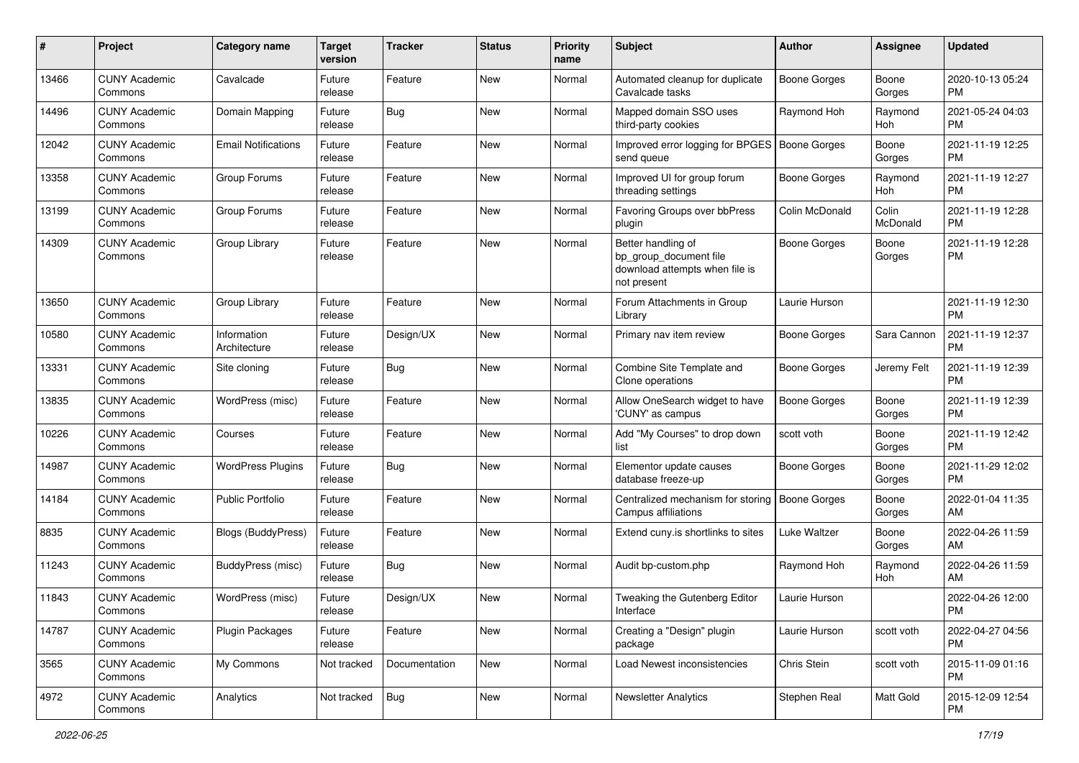| #     | Project                         | <b>Category name</b>        | <b>Target</b><br>version | <b>Tracker</b> | <b>Status</b> | <b>Priority</b><br>name | <b>Subject</b>                                                                                | Author              | Assignee          | <b>Updated</b>                |
|-------|---------------------------------|-----------------------------|--------------------------|----------------|---------------|-------------------------|-----------------------------------------------------------------------------------------------|---------------------|-------------------|-------------------------------|
| 13466 | <b>CUNY Academic</b><br>Commons | Cavalcade                   | Future<br>release        | Feature        | <b>New</b>    | Normal                  | Automated cleanup for duplicate<br>Cavalcade tasks                                            | <b>Boone Gorges</b> | Boone<br>Gorges   | 2020-10-13 05:24<br><b>PM</b> |
| 14496 | <b>CUNY Academic</b><br>Commons | Domain Mapping              | Future<br>release        | Bug            | <b>New</b>    | Normal                  | Mapped domain SSO uses<br>third-party cookies                                                 | Raymond Hoh         | Raymond<br>Hoh    | 2021-05-24 04:03<br><b>PM</b> |
| 12042 | <b>CUNY Academic</b><br>Commons | <b>Email Notifications</b>  | Future<br>release        | Feature        | <b>New</b>    | Normal                  | Improved error logging for BPGES<br>send queue                                                | <b>Boone Gorges</b> | Boone<br>Gorges   | 2021-11-19 12:25<br><b>PM</b> |
| 13358 | <b>CUNY Academic</b><br>Commons | Group Forums                | Future<br>release        | Feature        | <b>New</b>    | Normal                  | Improved UI for group forum<br>threading settings                                             | Boone Gorges        | Raymond<br>Hoh    | 2021-11-19 12:27<br><b>PM</b> |
| 13199 | <b>CUNY Academic</b><br>Commons | Group Forums                | Future<br>release        | Feature        | <b>New</b>    | Normal                  | Favoring Groups over bbPress<br>plugin                                                        | Colin McDonald      | Colin<br>McDonald | 2021-11-19 12:28<br><b>PM</b> |
| 14309 | <b>CUNY Academic</b><br>Commons | Group Library               | Future<br>release        | Feature        | <b>New</b>    | Normal                  | Better handling of<br>bp_group_document file<br>download attempts when file is<br>not present | <b>Boone Gorges</b> | Boone<br>Gorges   | 2021-11-19 12:28<br><b>PM</b> |
| 13650 | <b>CUNY Academic</b><br>Commons | Group Library               | Future<br>release        | Feature        | <b>New</b>    | Normal                  | Forum Attachments in Group<br>Library                                                         | Laurie Hurson       |                   | 2021-11-19 12:30<br><b>PM</b> |
| 10580 | <b>CUNY Academic</b><br>Commons | Information<br>Architecture | Future<br>release        | Design/UX      | <b>New</b>    | Normal                  | Primary nav item review                                                                       | Boone Gorges        | Sara Cannon       | 2021-11-19 12:37<br><b>PM</b> |
| 13331 | <b>CUNY Academic</b><br>Commons | Site cloning                | Future<br>release        | Bug            | <b>New</b>    | Normal                  | Combine Site Template and<br>Clone operations                                                 | <b>Boone Gorges</b> | Jeremy Felt       | 2021-11-19 12:39<br><b>PM</b> |
| 13835 | <b>CUNY Academic</b><br>Commons | WordPress (misc)            | Future<br>release        | Feature        | <b>New</b>    | Normal                  | Allow OneSearch widget to have<br>'CUNY' as campus                                            | <b>Boone Gorges</b> | Boone<br>Gorges   | 2021-11-19 12:39<br><b>PM</b> |
| 10226 | <b>CUNY Academic</b><br>Commons | Courses                     | Future<br>release        | Feature        | <b>New</b>    | Normal                  | Add "My Courses" to drop down<br>list                                                         | scott voth          | Boone<br>Gorges   | 2021-11-19 12:42<br><b>PM</b> |
| 14987 | <b>CUNY Academic</b><br>Commons | <b>WordPress Plugins</b>    | Future<br>release        | Bug            | <b>New</b>    | Normal                  | Elementor update causes<br>database freeze-up                                                 | Boone Gorges        | Boone<br>Gorges   | 2021-11-29 12:02<br><b>PM</b> |
| 14184 | <b>CUNY Academic</b><br>Commons | <b>Public Portfolio</b>     | Future<br>release        | Feature        | New           | Normal                  | Centralized mechanism for storing<br>Campus affiliations                                      | Boone Gorges        | Boone<br>Gorges   | 2022-01-04 11:35<br>AM        |
| 8835  | <b>CUNY Academic</b><br>Commons | <b>Blogs (BuddyPress)</b>   | Future<br>release        | Feature        | <b>New</b>    | Normal                  | Extend cuny.is shortlinks to sites                                                            | Luke Waltzer        | Boone<br>Gorges   | 2022-04-26 11:59<br>AM        |
| 11243 | <b>CUNY Academic</b><br>Commons | BuddyPress (misc)           | Future<br>release        | Bug            | <b>New</b>    | Normal                  | Audit bp-custom.php                                                                           | Raymond Hoh         | Raymond<br>Hoh    | 2022-04-26 11:59<br>AM        |
| 11843 | <b>CUNY Academic</b><br>Commons | WordPress (misc)            | Future<br>release        | Design/UX      | <b>New</b>    | Normal                  | Tweaking the Gutenberg Editor<br>Interface                                                    | Laurie Hurson       |                   | 2022-04-26 12:00<br>PM        |
| 14787 | <b>CUNY Academic</b><br>Commons | <b>Plugin Packages</b>      | Future<br>release        | Feature        | New           | Normal                  | Creating a "Design" plugin<br>package                                                         | Laurie Hurson       | scott voth        | 2022-04-27 04:56<br>PM        |
| 3565  | <b>CUNY Academic</b><br>Commons | My Commons                  | Not tracked              | Documentation  | New           | Normal                  | <b>Load Newest inconsistencies</b>                                                            | Chris Stein         | scott voth        | 2015-11-09 01:16<br>PM        |
| 4972  | <b>CUNY Academic</b><br>Commons | Analytics                   | Not tracked              | <b>Bug</b>     | New           | Normal                  | <b>Newsletter Analytics</b>                                                                   | Stephen Real        | Matt Gold         | 2015-12-09 12:54<br>PM        |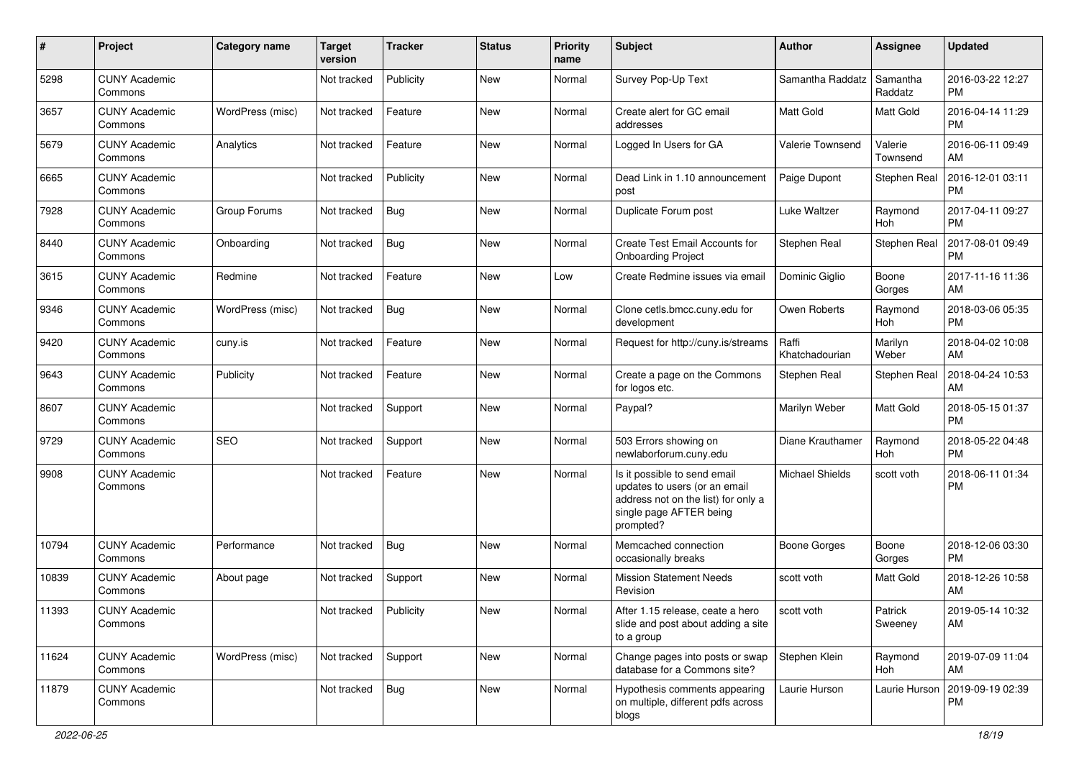| #     | Project                         | <b>Category name</b> | <b>Target</b><br>version | <b>Tracker</b> | <b>Status</b> | <b>Priority</b><br>name | <b>Subject</b>                                                                                                                               | <b>Author</b>           | Assignee              | <b>Updated</b>                |
|-------|---------------------------------|----------------------|--------------------------|----------------|---------------|-------------------------|----------------------------------------------------------------------------------------------------------------------------------------------|-------------------------|-----------------------|-------------------------------|
| 5298  | <b>CUNY Academic</b><br>Commons |                      | Not tracked              | Publicity      | New           | Normal                  | Survey Pop-Up Text                                                                                                                           | Samantha Raddatz        | Samantha<br>Raddatz   | 2016-03-22 12:27<br><b>PM</b> |
| 3657  | <b>CUNY Academic</b><br>Commons | WordPress (misc)     | Not tracked              | Feature        | New           | Normal                  | Create alert for GC email<br>addresses                                                                                                       | Matt Gold               | <b>Matt Gold</b>      | 2016-04-14 11:29<br><b>PM</b> |
| 5679  | <b>CUNY Academic</b><br>Commons | Analytics            | Not tracked              | Feature        | New           | Normal                  | Logged In Users for GA                                                                                                                       | Valerie Townsend        | Valerie<br>Townsend   | 2016-06-11 09:49<br>AM        |
| 6665  | <b>CUNY Academic</b><br>Commons |                      | Not tracked              | Publicity      | <b>New</b>    | Normal                  | Dead Link in 1.10 announcement<br>post                                                                                                       | Paige Dupont            | Stephen Real          | 2016-12-01 03:11<br><b>PM</b> |
| 7928  | <b>CUNY Academic</b><br>Commons | Group Forums         | Not tracked              | Bug            | New           | Normal                  | Duplicate Forum post                                                                                                                         | Luke Waltzer            | Raymond<br><b>Hoh</b> | 2017-04-11 09:27<br><b>PM</b> |
| 8440  | <b>CUNY Academic</b><br>Commons | Onboarding           | Not tracked              | <b>Bug</b>     | New           | Normal                  | Create Test Email Accounts for<br><b>Onboarding Project</b>                                                                                  | Stephen Real            | Stephen Real          | 2017-08-01 09:49<br><b>PM</b> |
| 3615  | <b>CUNY Academic</b><br>Commons | Redmine              | Not tracked              | Feature        | New           | Low                     | Create Redmine issues via email                                                                                                              | Dominic Giglio          | Boone<br>Gorges       | 2017-11-16 11:36<br>AM        |
| 9346  | <b>CUNY Academic</b><br>Commons | WordPress (misc)     | Not tracked              | Bug            | New           | Normal                  | Clone cetls.bmcc.cuny.edu for<br>development                                                                                                 | Owen Roberts            | Raymond<br>Hoh        | 2018-03-06 05:35<br><b>PM</b> |
| 9420  | <b>CUNY Academic</b><br>Commons | cuny.is              | Not tracked              | Feature        | New           | Normal                  | Request for http://cuny.is/streams                                                                                                           | Raffi<br>Khatchadourian | Marilyn<br>Weber      | 2018-04-02 10:08<br>AM        |
| 9643  | <b>CUNY Academic</b><br>Commons | Publicity            | Not tracked              | Feature        | New           | Normal                  | Create a page on the Commons<br>for logos etc.                                                                                               | Stephen Real            | Stephen Real          | 2018-04-24 10:53<br>AM        |
| 8607  | <b>CUNY Academic</b><br>Commons |                      | Not tracked              | Support        | <b>New</b>    | Normal                  | Paypal?                                                                                                                                      | Marilyn Weber           | Matt Gold             | 2018-05-15 01:37<br><b>PM</b> |
| 9729  | <b>CUNY Academic</b><br>Commons | <b>SEO</b>           | Not tracked              | Support        | New           | Normal                  | 503 Errors showing on<br>newlaborforum.cuny.edu                                                                                              | Diane Krauthamer        | Raymond<br>Hoh        | 2018-05-22 04:48<br><b>PM</b> |
| 9908  | <b>CUNY Academic</b><br>Commons |                      | Not tracked              | Feature        | New           | Normal                  | Is it possible to send email<br>updates to users (or an email<br>address not on the list) for only a<br>single page AFTER being<br>prompted? | <b>Michael Shields</b>  | scott voth            | 2018-06-11 01:34<br><b>PM</b> |
| 10794 | <b>CUNY Academic</b><br>Commons | Performance          | Not tracked              | <b>Bug</b>     | New           | Normal                  | Memcached connection<br>occasionally breaks                                                                                                  | <b>Boone Gorges</b>     | Boone<br>Gorges       | 2018-12-06 03:30<br><b>PM</b> |
| 10839 | <b>CUNY Academic</b><br>Commons | About page           | Not tracked              | Support        | <b>New</b>    | Normal                  | <b>Mission Statement Needs</b><br>Revision                                                                                                   | scott voth              | Matt Gold             | 2018-12-26 10:58<br>AM        |
| 11393 | <b>CUNY Academic</b><br>Commons |                      | Not tracked Publicity    |                | New           | Normal                  | After 1.15 release, ceate a hero<br>slide and post about adding a site<br>to a group                                                         | scott voth              | Patrick<br>Sweeney    | 2019-05-14 10:32<br>AM        |
| 11624 | <b>CUNY Academic</b><br>Commons | WordPress (misc)     | Not tracked              | Support        | New           | Normal                  | Change pages into posts or swap<br>database for a Commons site?                                                                              | Stephen Klein           | Raymond<br>Hoh        | 2019-07-09 11:04<br>AM        |
| 11879 | <b>CUNY Academic</b><br>Commons |                      | Not tracked              | Bug            | New           | Normal                  | Hypothesis comments appearing<br>on multiple, different pdfs across<br>blogs                                                                 | Laurie Hurson           | Laurie Hurson         | 2019-09-19 02:39<br>PM        |